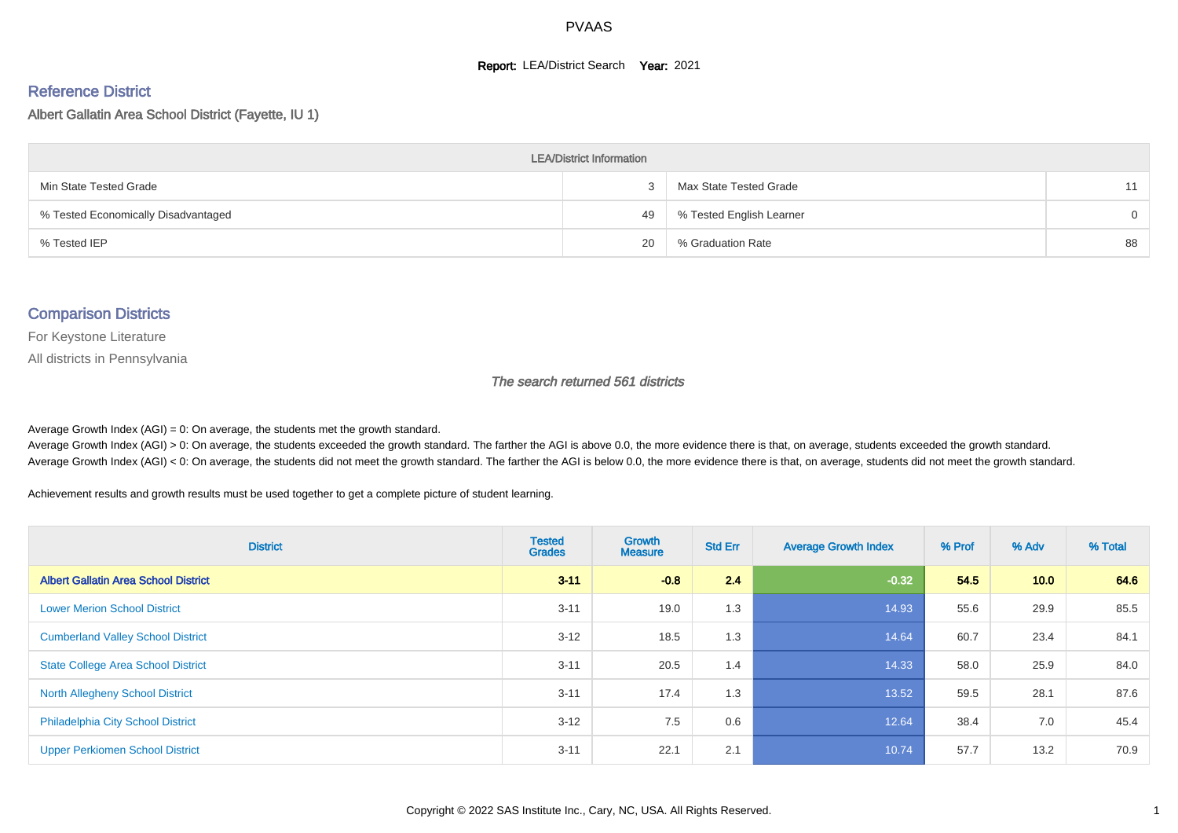#### **Report: LEA/District Search Year: 2021**

#### Reference District

Albert Gallatin Area School District (Fayette, IU 1)

| <b>LEA/District Information</b>     |    |                          |          |  |  |  |  |  |  |  |
|-------------------------------------|----|--------------------------|----------|--|--|--|--|--|--|--|
| Min State Tested Grade              |    | Max State Tested Grade   | 11       |  |  |  |  |  |  |  |
| % Tested Economically Disadvantaged | 49 | % Tested English Learner | $\Omega$ |  |  |  |  |  |  |  |
| % Tested IEP                        | 20 | % Graduation Rate        | 88       |  |  |  |  |  |  |  |

#### Comparison Districts

For Keystone Literature

All districts in Pennsylvania

The search returned 561 districts

Average Growth Index  $(AGI) = 0$ : On average, the students met the growth standard.

Average Growth Index (AGI) > 0: On average, the students exceeded the growth standard. The farther the AGI is above 0.0, the more evidence there is that, on average, students exceeded the growth standard. Average Growth Index (AGI) < 0: On average, the students did not meet the growth standard. The farther the AGI is below 0.0, the more evidence there is that, on average, students did not meet the growth standard.

Achievement results and growth results must be used together to get a complete picture of student learning.

| <b>District</b>                             | <b>Tested</b><br><b>Grades</b> | <b>Growth</b><br><b>Measure</b> | <b>Std Err</b> | <b>Average Growth Index</b> | % Prof | % Adv             | % Total |
|---------------------------------------------|--------------------------------|---------------------------------|----------------|-----------------------------|--------|-------------------|---------|
| <b>Albert Gallatin Area School District</b> | $3 - 11$                       | $-0.8$                          | 2.4            | $-0.32$                     | 54.5   | 10.0 <sub>1</sub> | 64.6    |
| <b>Lower Merion School District</b>         | $3 - 11$                       | 19.0                            | 1.3            | 14.93                       | 55.6   | 29.9              | 85.5    |
| <b>Cumberland Valley School District</b>    | $3 - 12$                       | 18.5                            | 1.3            | 14.64                       | 60.7   | 23.4              | 84.1    |
| <b>State College Area School District</b>   | $3 - 11$                       | 20.5                            | 1.4            | 14.33                       | 58.0   | 25.9              | 84.0    |
| <b>North Allegheny School District</b>      | $3 - 11$                       | 17.4                            | 1.3            | 13.52                       | 59.5   | 28.1              | 87.6    |
| <b>Philadelphia City School District</b>    | $3 - 12$                       | 7.5                             | 0.6            | 12.64                       | 38.4   | 7.0               | 45.4    |
| <b>Upper Perkiomen School District</b>      | $3 - 11$                       | 22.1                            | 2.1            | 10.74                       | 57.7   | 13.2              | 70.9    |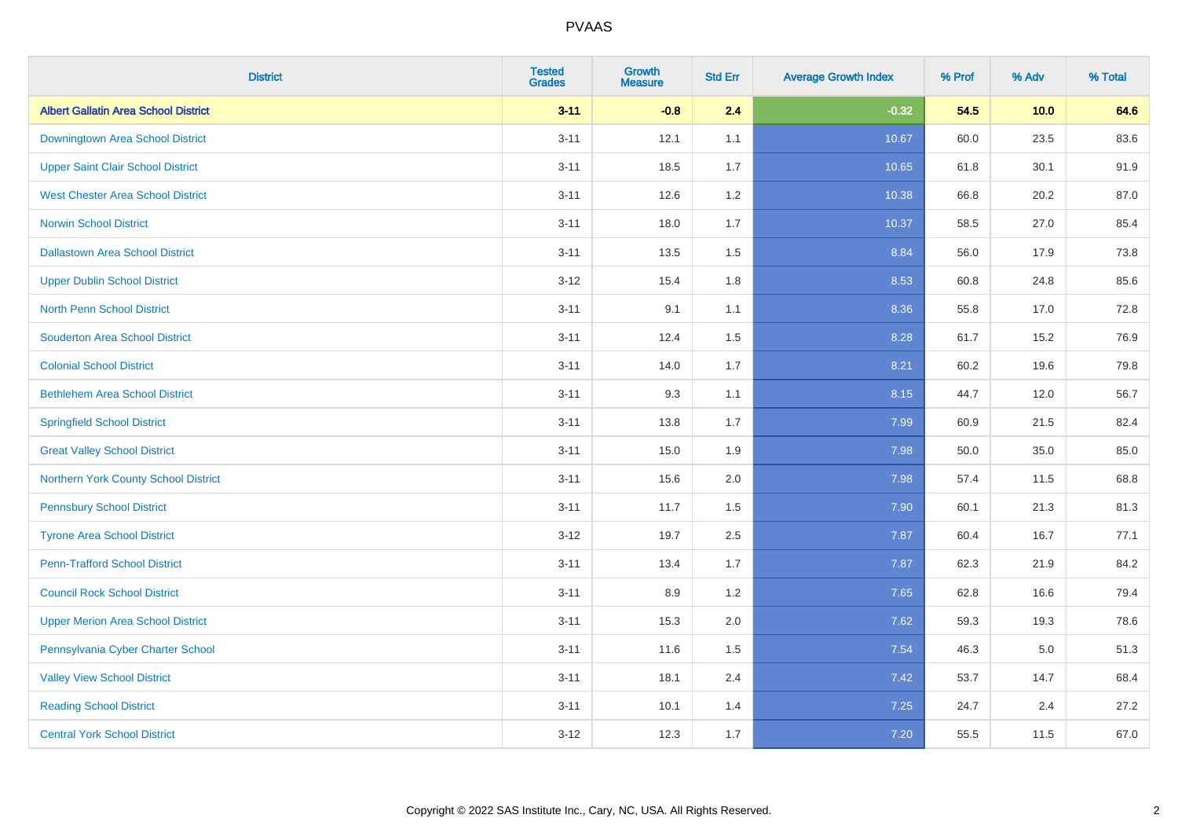| <b>District</b>                             | <b>Tested</b><br><b>Grades</b> | <b>Growth</b><br><b>Measure</b> | <b>Std Err</b> | <b>Average Growth Index</b> | % Prof | % Adv   | % Total |
|---------------------------------------------|--------------------------------|---------------------------------|----------------|-----------------------------|--------|---------|---------|
| <b>Albert Gallatin Area School District</b> | $3 - 11$                       | $-0.8$                          | 2.4            | $-0.32$                     | 54.5   | 10.0    | 64.6    |
| Downingtown Area School District            | $3 - 11$                       | 12.1                            | 1.1            | 10.67                       | 60.0   | 23.5    | 83.6    |
| <b>Upper Saint Clair School District</b>    | $3 - 11$                       | 18.5                            | 1.7            | 10.65                       | 61.8   | 30.1    | 91.9    |
| <b>West Chester Area School District</b>    | $3 - 11$                       | 12.6                            | 1.2            | 10.38                       | 66.8   | 20.2    | 87.0    |
| <b>Norwin School District</b>               | $3 - 11$                       | 18.0                            | 1.7            | 10.37                       | 58.5   | 27.0    | 85.4    |
| <b>Dallastown Area School District</b>      | $3 - 11$                       | 13.5                            | 1.5            | 8.84                        | 56.0   | 17.9    | 73.8    |
| <b>Upper Dublin School District</b>         | $3 - 12$                       | 15.4                            | 1.8            | 8.53                        | 60.8   | 24.8    | 85.6    |
| <b>North Penn School District</b>           | $3 - 11$                       | 9.1                             | 1.1            | 8.36                        | 55.8   | 17.0    | 72.8    |
| <b>Souderton Area School District</b>       | $3 - 11$                       | 12.4                            | 1.5            | 8.28                        | 61.7   | 15.2    | 76.9    |
| <b>Colonial School District</b>             | $3 - 11$                       | 14.0                            | 1.7            | 8.21                        | 60.2   | 19.6    | 79.8    |
| <b>Bethlehem Area School District</b>       | $3 - 11$                       | 9.3                             | 1.1            | 8.15                        | 44.7   | 12.0    | 56.7    |
| <b>Springfield School District</b>          | $3 - 11$                       | 13.8                            | 1.7            | 7.99                        | 60.9   | 21.5    | 82.4    |
| <b>Great Valley School District</b>         | $3 - 11$                       | 15.0                            | 1.9            | 7.98                        | 50.0   | 35.0    | 85.0    |
| Northern York County School District        | $3 - 11$                       | 15.6                            | 2.0            | 7.98                        | 57.4   | 11.5    | 68.8    |
| <b>Pennsbury School District</b>            | $3 - 11$                       | 11.7                            | 1.5            | 7.90                        | 60.1   | 21.3    | 81.3    |
| <b>Tyrone Area School District</b>          | $3 - 12$                       | 19.7                            | 2.5            | 7.87                        | 60.4   | 16.7    | 77.1    |
| <b>Penn-Trafford School District</b>        | $3 - 11$                       | 13.4                            | 1.7            | 7.87                        | 62.3   | 21.9    | 84.2    |
| <b>Council Rock School District</b>         | $3 - 11$                       | 8.9                             | 1.2            | 7.65                        | 62.8   | 16.6    | 79.4    |
| <b>Upper Merion Area School District</b>    | $3 - 11$                       | 15.3                            | 2.0            | 7.62                        | 59.3   | 19.3    | 78.6    |
| Pennsylvania Cyber Charter School           | $3 - 11$                       | 11.6                            | 1.5            | 7.54                        | 46.3   | $5.0\,$ | 51.3    |
| <b>Valley View School District</b>          | $3 - 11$                       | 18.1                            | 2.4            | 7.42                        | 53.7   | 14.7    | 68.4    |
| <b>Reading School District</b>              | $3 - 11$                       | 10.1                            | 1.4            | 7.25                        | 24.7   | 2.4     | 27.2    |
| <b>Central York School District</b>         | $3 - 12$                       | 12.3                            | 1.7            | 7.20                        | 55.5   | 11.5    | 67.0    |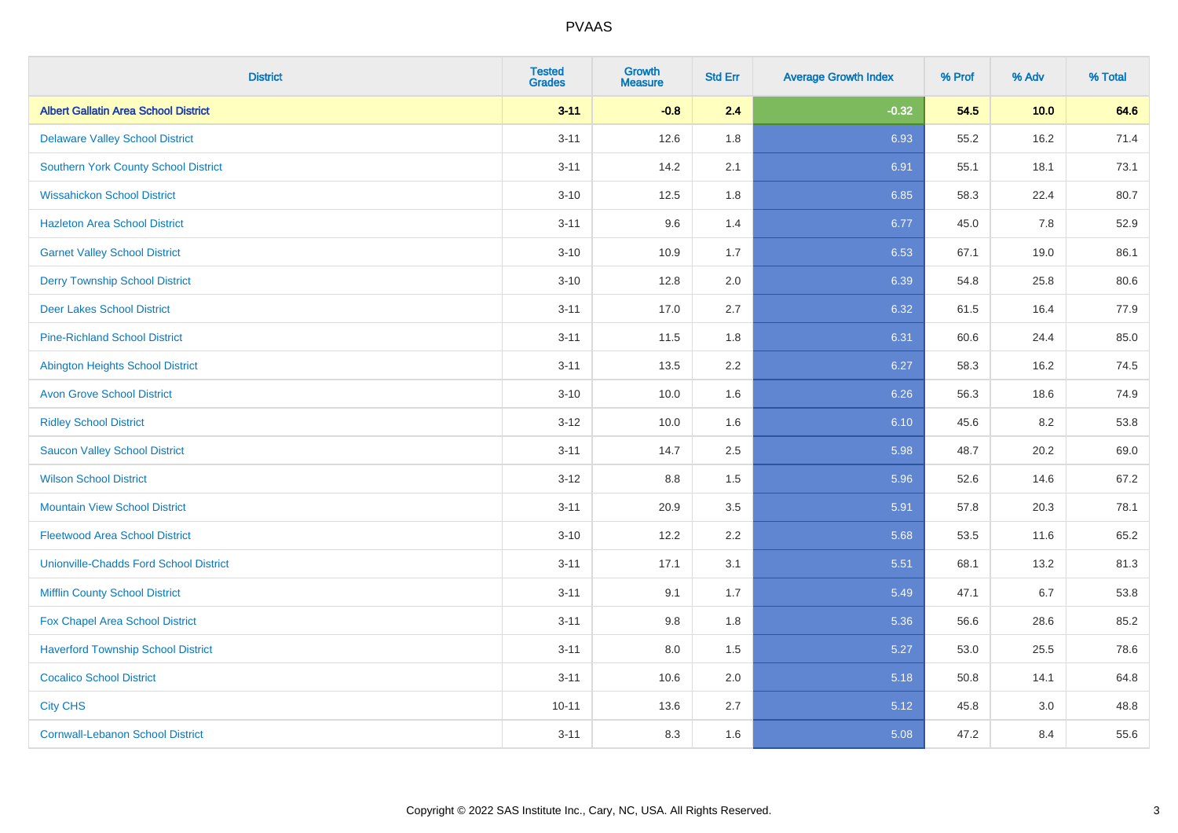| <b>District</b>                               | <b>Tested</b><br><b>Grades</b> | <b>Growth</b><br><b>Measure</b> | <b>Std Err</b> | <b>Average Growth Index</b> | % Prof | % Adv | % Total |
|-----------------------------------------------|--------------------------------|---------------------------------|----------------|-----------------------------|--------|-------|---------|
| <b>Albert Gallatin Area School District</b>   | $3 - 11$                       | $-0.8$                          | 2.4            | $-0.32$                     | 54.5   | 10.0  | 64.6    |
| <b>Delaware Valley School District</b>        | $3 - 11$                       | 12.6                            | 1.8            | 6.93                        | 55.2   | 16.2  | 71.4    |
| <b>Southern York County School District</b>   | $3 - 11$                       | 14.2                            | 2.1            | 6.91                        | 55.1   | 18.1  | 73.1    |
| <b>Wissahickon School District</b>            | $3 - 10$                       | 12.5                            | 1.8            | 6.85                        | 58.3   | 22.4  | 80.7    |
| <b>Hazleton Area School District</b>          | $3 - 11$                       | 9.6                             | 1.4            | 6.77                        | 45.0   | 7.8   | 52.9    |
| <b>Garnet Valley School District</b>          | $3 - 10$                       | 10.9                            | 1.7            | 6.53                        | 67.1   | 19.0  | 86.1    |
| <b>Derry Township School District</b>         | $3 - 10$                       | 12.8                            | 2.0            | 6.39                        | 54.8   | 25.8  | 80.6    |
| <b>Deer Lakes School District</b>             | $3 - 11$                       | 17.0                            | 2.7            | 6.32                        | 61.5   | 16.4  | 77.9    |
| <b>Pine-Richland School District</b>          | $3 - 11$                       | 11.5                            | 1.8            | 6.31                        | 60.6   | 24.4  | 85.0    |
| <b>Abington Heights School District</b>       | $3 - 11$                       | 13.5                            | 2.2            | 6.27                        | 58.3   | 16.2  | 74.5    |
| <b>Avon Grove School District</b>             | $3 - 10$                       | 10.0                            | 1.6            | 6.26                        | 56.3   | 18.6  | 74.9    |
| <b>Ridley School District</b>                 | $3 - 12$                       | 10.0                            | 1.6            | 6.10                        | 45.6   | 8.2   | 53.8    |
| <b>Saucon Valley School District</b>          | $3 - 11$                       | 14.7                            | 2.5            | 5.98                        | 48.7   | 20.2  | 69.0    |
| <b>Wilson School District</b>                 | $3 - 12$                       | $8.8\,$                         | 1.5            | 5.96                        | 52.6   | 14.6  | 67.2    |
| <b>Mountain View School District</b>          | $3 - 11$                       | 20.9                            | 3.5            | 5.91                        | 57.8   | 20.3  | 78.1    |
| <b>Fleetwood Area School District</b>         | $3 - 10$                       | 12.2                            | 2.2            | 5.68                        | 53.5   | 11.6  | 65.2    |
| <b>Unionville-Chadds Ford School District</b> | $3 - 11$                       | 17.1                            | 3.1            | 5.51                        | 68.1   | 13.2  | 81.3    |
| <b>Mifflin County School District</b>         | $3 - 11$                       | 9.1                             | 1.7            | 5.49                        | 47.1   | 6.7   | 53.8    |
| Fox Chapel Area School District               | $3 - 11$                       | 9.8                             | 1.8            | 5.36                        | 56.6   | 28.6  | 85.2    |
| <b>Haverford Township School District</b>     | $3 - 11$                       | 8.0                             | 1.5            | 5.27                        | 53.0   | 25.5  | 78.6    |
| <b>Cocalico School District</b>               | $3 - 11$                       | 10.6                            | 2.0            | 5.18                        | 50.8   | 14.1  | 64.8    |
| <b>City CHS</b>                               | $10 - 11$                      | 13.6                            | 2.7            | 5.12                        | 45.8   | 3.0   | 48.8    |
| <b>Cornwall-Lebanon School District</b>       | $3 - 11$                       | 8.3                             | 1.6            | 5.08                        | 47.2   | 8.4   | 55.6    |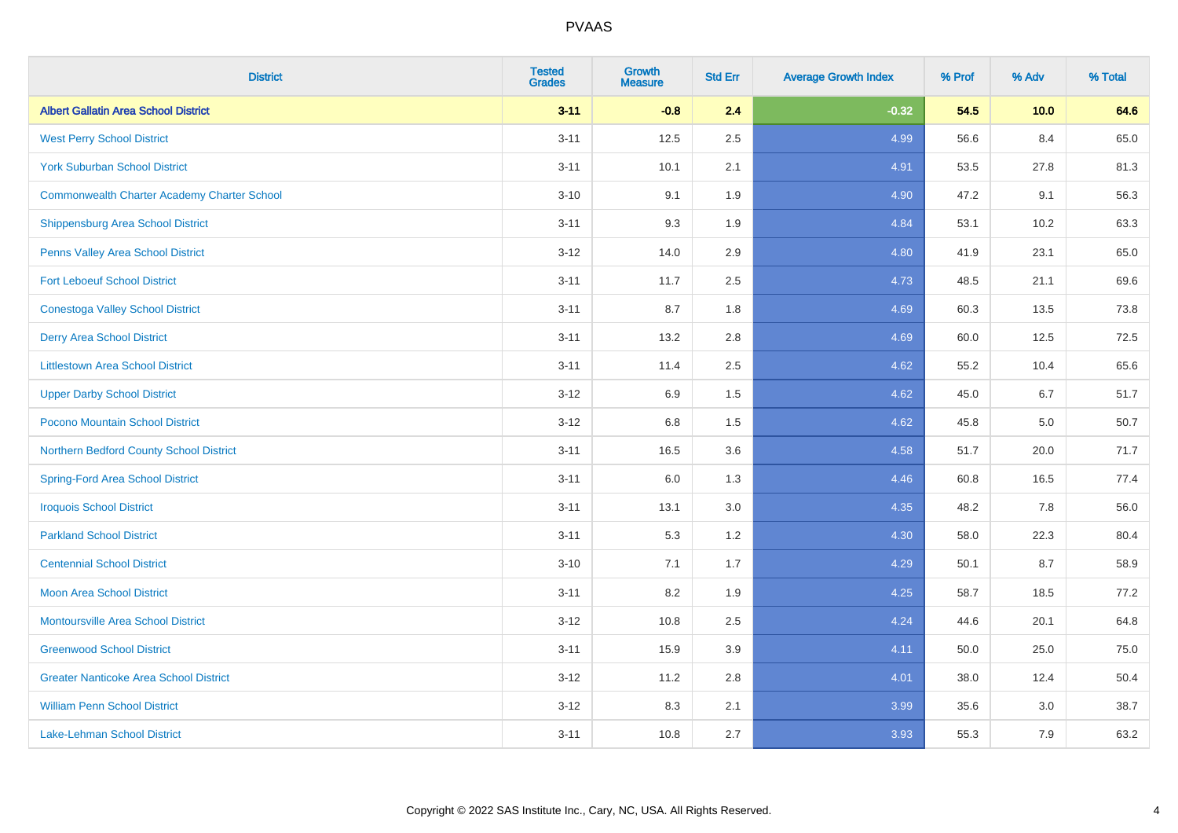| <b>District</b>                                    | <b>Tested</b><br><b>Grades</b> | <b>Growth</b><br><b>Measure</b> | <b>Std Err</b> | <b>Average Growth Index</b> | % Prof | % Adv | % Total |
|----------------------------------------------------|--------------------------------|---------------------------------|----------------|-----------------------------|--------|-------|---------|
| <b>Albert Gallatin Area School District</b>        | $3 - 11$                       | $-0.8$                          | 2.4            | $-0.32$                     | 54.5   | 10.0  | 64.6    |
| <b>West Perry School District</b>                  | $3 - 11$                       | 12.5                            | 2.5            | 4.99                        | 56.6   | 8.4   | 65.0    |
| <b>York Suburban School District</b>               | $3 - 11$                       | 10.1                            | 2.1            | 4.91                        | 53.5   | 27.8  | 81.3    |
| <b>Commonwealth Charter Academy Charter School</b> | $3 - 10$                       | 9.1                             | 1.9            | 4.90                        | 47.2   | 9.1   | 56.3    |
| Shippensburg Area School District                  | $3 - 11$                       | 9.3                             | 1.9            | 4.84                        | 53.1   | 10.2  | 63.3    |
| Penns Valley Area School District                  | $3 - 12$                       | 14.0                            | 2.9            | 4.80                        | 41.9   | 23.1  | 65.0    |
| <b>Fort Leboeuf School District</b>                | $3 - 11$                       | 11.7                            | 2.5            | 4.73                        | 48.5   | 21.1  | 69.6    |
| <b>Conestoga Valley School District</b>            | $3 - 11$                       | 8.7                             | 1.8            | 4.69                        | 60.3   | 13.5  | 73.8    |
| <b>Derry Area School District</b>                  | $3 - 11$                       | 13.2                            | 2.8            | 4.69                        | 60.0   | 12.5  | 72.5    |
| <b>Littlestown Area School District</b>            | $3 - 11$                       | 11.4                            | 2.5            | 4.62                        | 55.2   | 10.4  | 65.6    |
| <b>Upper Darby School District</b>                 | $3 - 12$                       | 6.9                             | 1.5            | 4.62                        | 45.0   | 6.7   | 51.7    |
| Pocono Mountain School District                    | $3 - 12$                       | $6.8\,$                         | 1.5            | 4.62                        | 45.8   | 5.0   | 50.7    |
| Northern Bedford County School District            | $3 - 11$                       | 16.5                            | 3.6            | 4.58                        | 51.7   | 20.0  | 71.7    |
| <b>Spring-Ford Area School District</b>            | $3 - 11$                       | 6.0                             | 1.3            | 4.46                        | 60.8   | 16.5  | 77.4    |
| <b>Iroquois School District</b>                    | $3 - 11$                       | 13.1                            | 3.0            | 4.35                        | 48.2   | 7.8   | 56.0    |
| <b>Parkland School District</b>                    | $3 - 11$                       | 5.3                             | 1.2            | 4.30                        | 58.0   | 22.3  | 80.4    |
| <b>Centennial School District</b>                  | $3 - 10$                       | 7.1                             | 1.7            | 4.29                        | 50.1   | 8.7   | 58.9    |
| <b>Moon Area School District</b>                   | $3 - 11$                       | 8.2                             | 1.9            | 4.25                        | 58.7   | 18.5  | 77.2    |
| <b>Montoursville Area School District</b>          | $3 - 12$                       | 10.8                            | 2.5            | 4.24                        | 44.6   | 20.1  | 64.8    |
| <b>Greenwood School District</b>                   | $3 - 11$                       | 15.9                            | 3.9            | 4.11                        | 50.0   | 25.0  | 75.0    |
| <b>Greater Nanticoke Area School District</b>      | $3-12$                         | 11.2                            | 2.8            | 4.01                        | 38.0   | 12.4  | 50.4    |
| <b>William Penn School District</b>                | $3 - 12$                       | 8.3                             | 2.1            | 3.99                        | 35.6   | 3.0   | 38.7    |
| Lake-Lehman School District                        | $3 - 11$                       | 10.8                            | 2.7            | 3.93                        | 55.3   | 7.9   | 63.2    |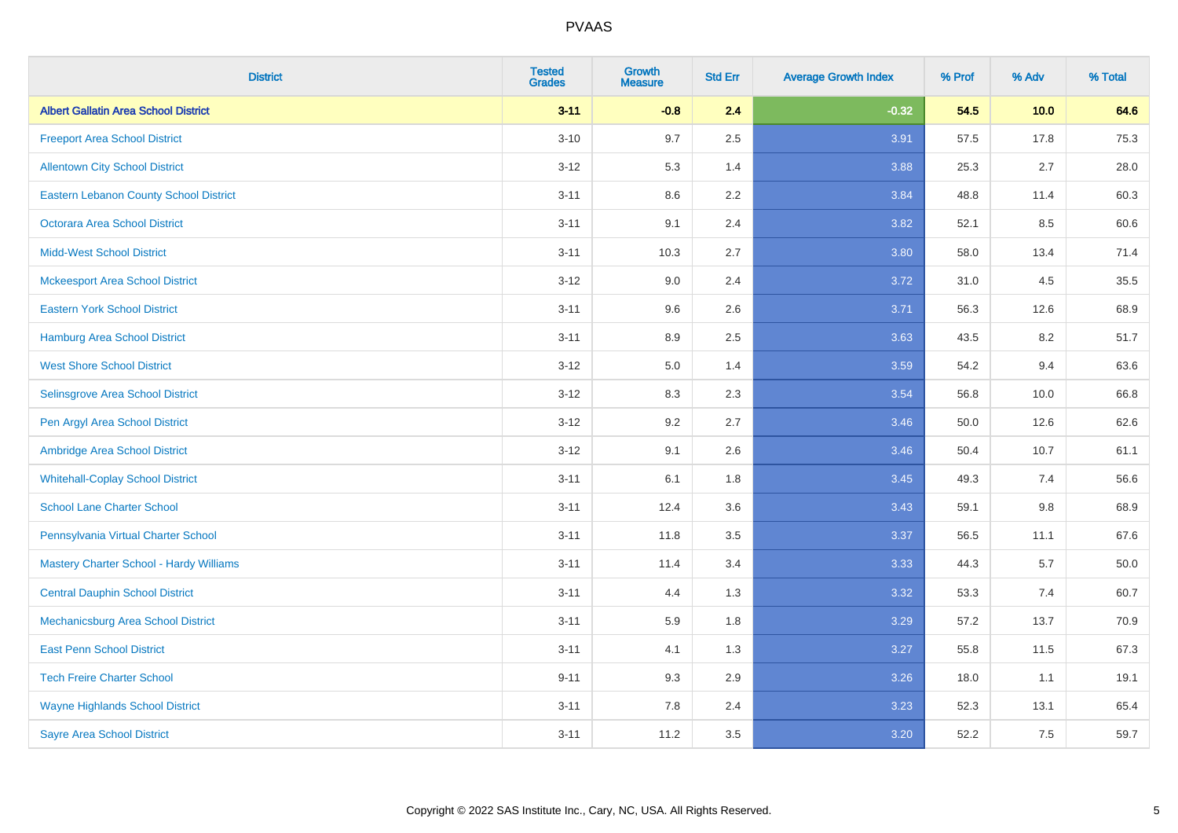| <b>District</b>                               | <b>Tested</b><br><b>Grades</b> | <b>Growth</b><br><b>Measure</b> | <b>Std Err</b> | <b>Average Growth Index</b> | % Prof | % Adv   | % Total  |
|-----------------------------------------------|--------------------------------|---------------------------------|----------------|-----------------------------|--------|---------|----------|
| <b>Albert Gallatin Area School District</b>   | $3 - 11$                       | $-0.8$                          | 2.4            | $-0.32$                     | 54.5   | 10.0    | 64.6     |
| <b>Freeport Area School District</b>          | $3 - 10$                       | 9.7                             | 2.5            | 3.91                        | 57.5   | 17.8    | 75.3     |
| <b>Allentown City School District</b>         | $3 - 12$                       | 5.3                             | 1.4            | 3.88                        | 25.3   | 2.7     | 28.0     |
| <b>Eastern Lebanon County School District</b> | $3 - 11$                       | 8.6                             | 2.2            | 3.84                        | 48.8   | 11.4    | 60.3     |
| <b>Octorara Area School District</b>          | $3 - 11$                       | 9.1                             | 2.4            | 3.82                        | 52.1   | 8.5     | 60.6     |
| <b>Midd-West School District</b>              | $3 - 11$                       | 10.3                            | 2.7            | 3.80                        | 58.0   | 13.4    | 71.4     |
| <b>Mckeesport Area School District</b>        | $3 - 12$                       | 9.0                             | 2.4            | 3.72                        | 31.0   | 4.5     | 35.5     |
| <b>Eastern York School District</b>           | $3 - 11$                       | 9.6                             | 2.6            | 3.71                        | 56.3   | 12.6    | 68.9     |
| <b>Hamburg Area School District</b>           | $3 - 11$                       | 8.9                             | 2.5            | 3.63                        | 43.5   | 8.2     | 51.7     |
| <b>West Shore School District</b>             | $3 - 12$                       | 5.0                             | 1.4            | 3.59                        | 54.2   | 9.4     | 63.6     |
| Selinsgrove Area School District              | $3 - 12$                       | 8.3                             | 2.3            | 3.54                        | 56.8   | 10.0    | 66.8     |
| Pen Argyl Area School District                | $3 - 12$                       | 9.2                             | 2.7            | 3.46                        | 50.0   | 12.6    | 62.6     |
| Ambridge Area School District                 | $3 - 12$                       | 9.1                             | 2.6            | 3.46                        | 50.4   | 10.7    | 61.1     |
| <b>Whitehall-Coplay School District</b>       | $3 - 11$                       | 6.1                             | 1.8            | 3.45                        | 49.3   | 7.4     | 56.6     |
| <b>School Lane Charter School</b>             | $3 - 11$                       | 12.4                            | 3.6            | 3.43                        | 59.1   | $9.8\,$ | 68.9     |
| Pennsylvania Virtual Charter School           | $3 - 11$                       | 11.8                            | $3.5\,$        | 3.37                        | 56.5   | 11.1    | 67.6     |
| Mastery Charter School - Hardy Williams       | $3 - 11$                       | 11.4                            | 3.4            | 3.33                        | 44.3   | 5.7     | $50.0\,$ |
| <b>Central Dauphin School District</b>        | $3 - 11$                       | 4.4                             | 1.3            | 3.32                        | 53.3   | 7.4     | 60.7     |
| Mechanicsburg Area School District            | $3 - 11$                       | 5.9                             | 1.8            | 3.29                        | 57.2   | 13.7    | 70.9     |
| <b>East Penn School District</b>              | $3 - 11$                       | 4.1                             | 1.3            | 3.27                        | 55.8   | 11.5    | 67.3     |
| <b>Tech Freire Charter School</b>             | $9 - 11$                       | 9.3                             | 2.9            | 3.26                        | 18.0   | 1.1     | 19.1     |
| <b>Wayne Highlands School District</b>        | $3 - 11$                       | 7.8                             | 2.4            | 3.23                        | 52.3   | 13.1    | 65.4     |
| <b>Sayre Area School District</b>             | $3 - 11$                       | 11.2                            | 3.5            | 3.20                        | 52.2   | 7.5     | 59.7     |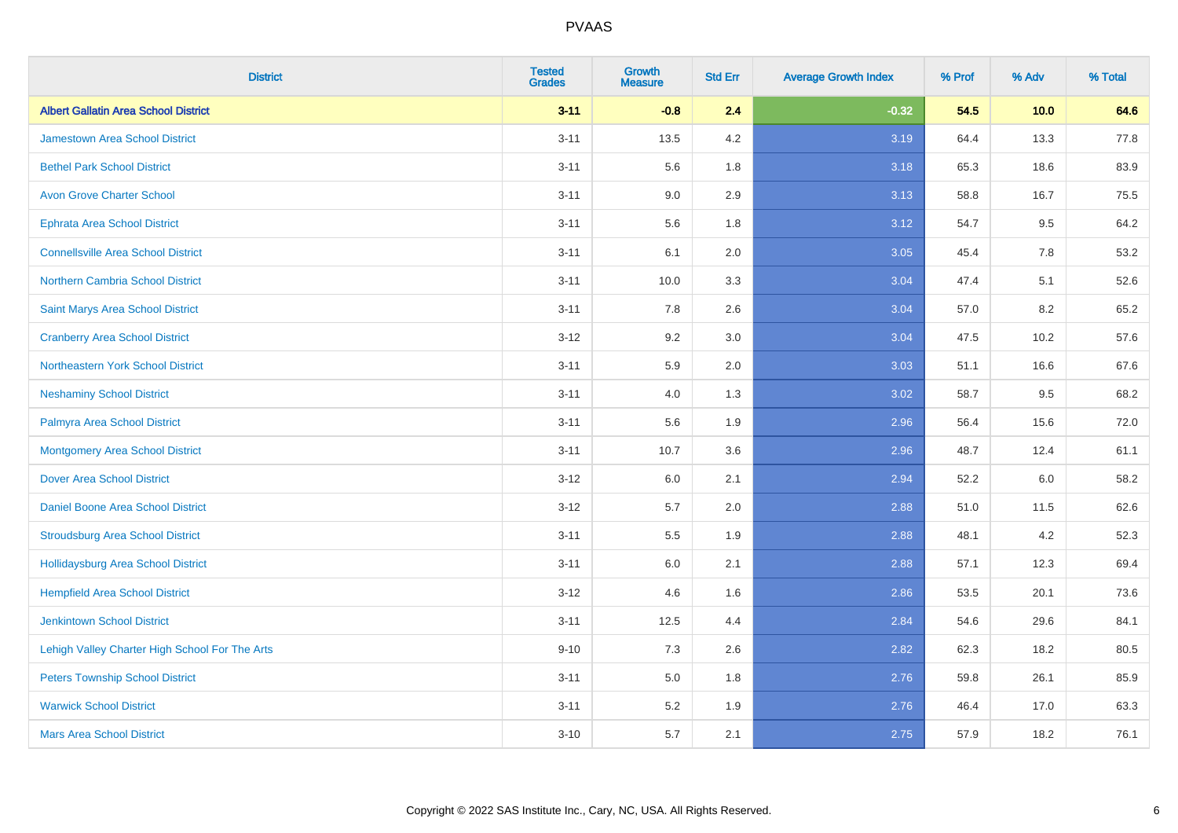| <b>District</b>                                | <b>Tested</b><br><b>Grades</b> | <b>Growth</b><br><b>Measure</b> | <b>Std Err</b> | <b>Average Growth Index</b> | % Prof | % Adv | % Total |
|------------------------------------------------|--------------------------------|---------------------------------|----------------|-----------------------------|--------|-------|---------|
| <b>Albert Gallatin Area School District</b>    | $3 - 11$                       | $-0.8$                          | 2.4            | $-0.32$                     | 54.5   | 10.0  | 64.6    |
| <b>Jamestown Area School District</b>          | $3 - 11$                       | 13.5                            | 4.2            | 3.19                        | 64.4   | 13.3  | 77.8    |
| <b>Bethel Park School District</b>             | $3 - 11$                       | 5.6                             | 1.8            | 3.18                        | 65.3   | 18.6  | 83.9    |
| <b>Avon Grove Charter School</b>               | $3 - 11$                       | 9.0                             | 2.9            | 3.13                        | 58.8   | 16.7  | 75.5    |
| <b>Ephrata Area School District</b>            | $3 - 11$                       | 5.6                             | 1.8            | 3.12                        | 54.7   | 9.5   | 64.2    |
| <b>Connellsville Area School District</b>      | $3 - 11$                       | 6.1                             | 2.0            | 3.05                        | 45.4   | 7.8   | 53.2    |
| Northern Cambria School District               | $3 - 11$                       | 10.0                            | 3.3            | 3.04                        | 47.4   | 5.1   | 52.6    |
| Saint Marys Area School District               | $3 - 11$                       | 7.8                             | 2.6            | 3.04                        | 57.0   | 8.2   | 65.2    |
| <b>Cranberry Area School District</b>          | $3 - 12$                       | 9.2                             | 3.0            | 3.04                        | 47.5   | 10.2  | 57.6    |
| Northeastern York School District              | $3 - 11$                       | 5.9                             | 2.0            | 3.03                        | 51.1   | 16.6  | 67.6    |
| <b>Neshaminy School District</b>               | $3 - 11$                       | 4.0                             | 1.3            | 3.02                        | 58.7   | 9.5   | 68.2    |
| Palmyra Area School District                   | $3 - 11$                       | 5.6                             | 1.9            | 2.96                        | 56.4   | 15.6  | 72.0    |
| <b>Montgomery Area School District</b>         | $3 - 11$                       | 10.7                            | 3.6            | 2.96                        | 48.7   | 12.4  | 61.1    |
| <b>Dover Area School District</b>              | $3-12$                         | 6.0                             | 2.1            | 2.94                        | 52.2   | 6.0   | 58.2    |
| <b>Daniel Boone Area School District</b>       | $3 - 12$                       | 5.7                             | 2.0            | 2.88                        | 51.0   | 11.5  | 62.6    |
| <b>Stroudsburg Area School District</b>        | $3 - 11$                       | 5.5                             | 1.9            | 2.88                        | 48.1   | 4.2   | 52.3    |
| Hollidaysburg Area School District             | $3 - 11$                       | 6.0                             | 2.1            | 2.88                        | 57.1   | 12.3  | 69.4    |
| <b>Hempfield Area School District</b>          | $3 - 12$                       | 4.6                             | 1.6            | 2.86                        | 53.5   | 20.1  | 73.6    |
| <b>Jenkintown School District</b>              | $3 - 11$                       | 12.5                            | 4.4            | 2.84                        | 54.6   | 29.6  | 84.1    |
| Lehigh Valley Charter High School For The Arts | $9 - 10$                       | 7.3                             | 2.6            | 2.82                        | 62.3   | 18.2  | 80.5    |
| <b>Peters Township School District</b>         | $3 - 11$                       | 5.0                             | 1.8            | 2.76                        | 59.8   | 26.1  | 85.9    |
| <b>Warwick School District</b>                 | $3 - 11$                       | 5.2                             | 1.9            | 2.76                        | 46.4   | 17.0  | 63.3    |
| <b>Mars Area School District</b>               | $3 - 10$                       | 5.7                             | 2.1            | 2.75                        | 57.9   | 18.2  | 76.1    |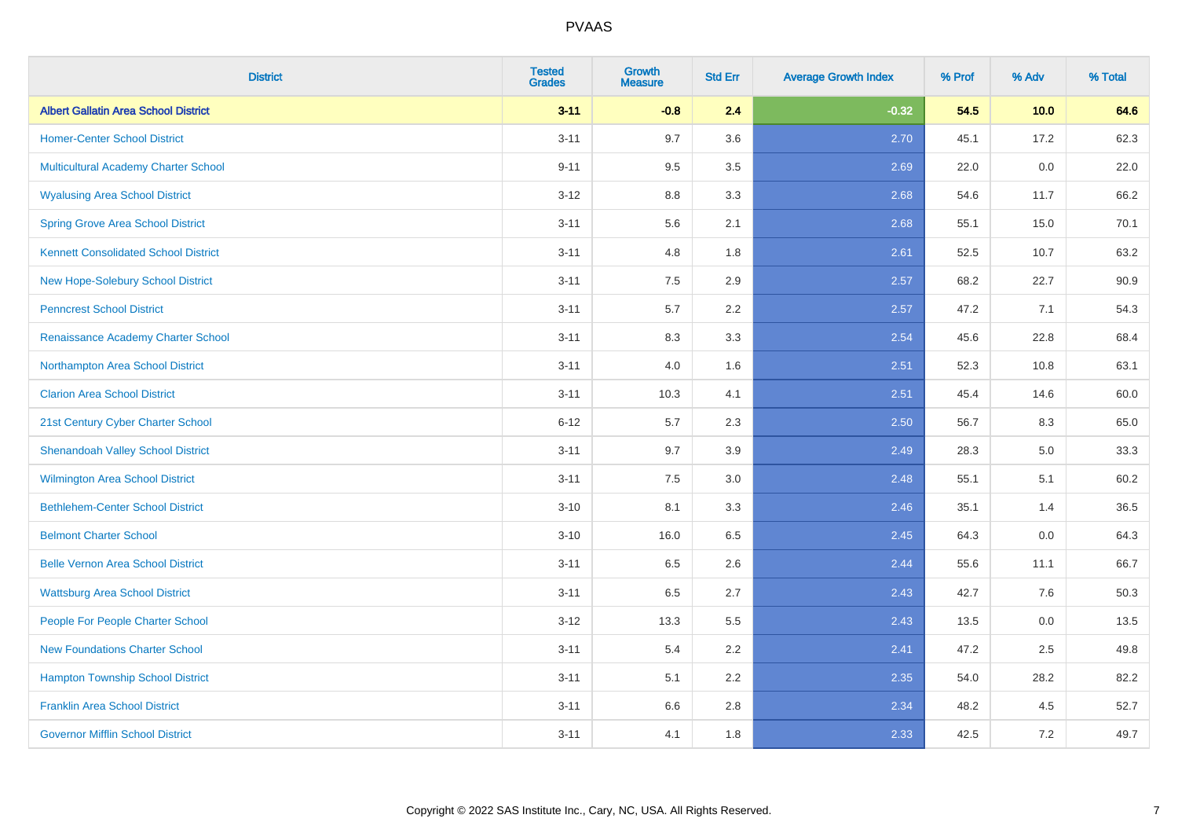| <b>District</b>                             | <b>Tested</b><br><b>Grades</b> | <b>Growth</b><br><b>Measure</b> | <b>Std Err</b> | <b>Average Growth Index</b> | % Prof | % Adv | % Total |
|---------------------------------------------|--------------------------------|---------------------------------|----------------|-----------------------------|--------|-------|---------|
| <b>Albert Gallatin Area School District</b> | $3 - 11$                       | $-0.8$                          | 2.4            | $-0.32$                     | 54.5   | 10.0  | 64.6    |
| <b>Homer-Center School District</b>         | $3 - 11$                       | 9.7                             | 3.6            | 2.70                        | 45.1   | 17.2  | 62.3    |
| Multicultural Academy Charter School        | $9 - 11$                       | 9.5                             | 3.5            | 2.69                        | 22.0   | 0.0   | 22.0    |
| <b>Wyalusing Area School District</b>       | $3-12$                         | 8.8                             | 3.3            | 2.68                        | 54.6   | 11.7  | 66.2    |
| <b>Spring Grove Area School District</b>    | $3 - 11$                       | 5.6                             | 2.1            | 2.68                        | 55.1   | 15.0  | 70.1    |
| <b>Kennett Consolidated School District</b> | $3 - 11$                       | 4.8                             | 1.8            | 2.61                        | 52.5   | 10.7  | 63.2    |
| New Hope-Solebury School District           | $3 - 11$                       | 7.5                             | 2.9            | 2.57                        | 68.2   | 22.7  | 90.9    |
| <b>Penncrest School District</b>            | $3 - 11$                       | 5.7                             | 2.2            | 2.57                        | 47.2   | 7.1   | 54.3    |
| Renaissance Academy Charter School          | $3 - 11$                       | 8.3                             | 3.3            | 2.54                        | 45.6   | 22.8  | 68.4    |
| Northampton Area School District            | $3 - 11$                       | 4.0                             | 1.6            | 2.51                        | 52.3   | 10.8  | 63.1    |
| <b>Clarion Area School District</b>         | $3 - 11$                       | 10.3                            | 4.1            | 2.51                        | 45.4   | 14.6  | 60.0    |
| 21st Century Cyber Charter School           | $6 - 12$                       | 5.7                             | 2.3            | 2.50                        | 56.7   | 8.3   | 65.0    |
| <b>Shenandoah Valley School District</b>    | $3 - 11$                       | 9.7                             | 3.9            | 2.49                        | 28.3   | 5.0   | 33.3    |
| <b>Wilmington Area School District</b>      | $3 - 11$                       | 7.5                             | 3.0            | 2.48                        | 55.1   | 5.1   | 60.2    |
| <b>Bethlehem-Center School District</b>     | $3 - 10$                       | 8.1                             | 3.3            | 2.46                        | 35.1   | 1.4   | 36.5    |
| <b>Belmont Charter School</b>               | $3 - 10$                       | 16.0                            | 6.5            | 2.45                        | 64.3   | 0.0   | 64.3    |
| <b>Belle Vernon Area School District</b>    | $3 - 11$                       | 6.5                             | 2.6            | 2.44                        | 55.6   | 11.1  | 66.7    |
| <b>Wattsburg Area School District</b>       | $3 - 11$                       | 6.5                             | 2.7            | 2.43                        | 42.7   | 7.6   | 50.3    |
| People For People Charter School            | $3 - 12$                       | 13.3                            | 5.5            | 2.43                        | 13.5   | 0.0   | 13.5    |
| <b>New Foundations Charter School</b>       | $3 - 11$                       | 5.4                             | 2.2            | 2.41                        | 47.2   | 2.5   | 49.8    |
| <b>Hampton Township School District</b>     | $3 - 11$                       | 5.1                             | 2.2            | 2.35                        | 54.0   | 28.2  | 82.2    |
| <b>Franklin Area School District</b>        | $3 - 11$                       | 6.6                             | 2.8            | 2.34                        | 48.2   | 4.5   | 52.7    |
| <b>Governor Mifflin School District</b>     | $3 - 11$                       | 4.1                             | 1.8            | 2.33                        | 42.5   | 7.2   | 49.7    |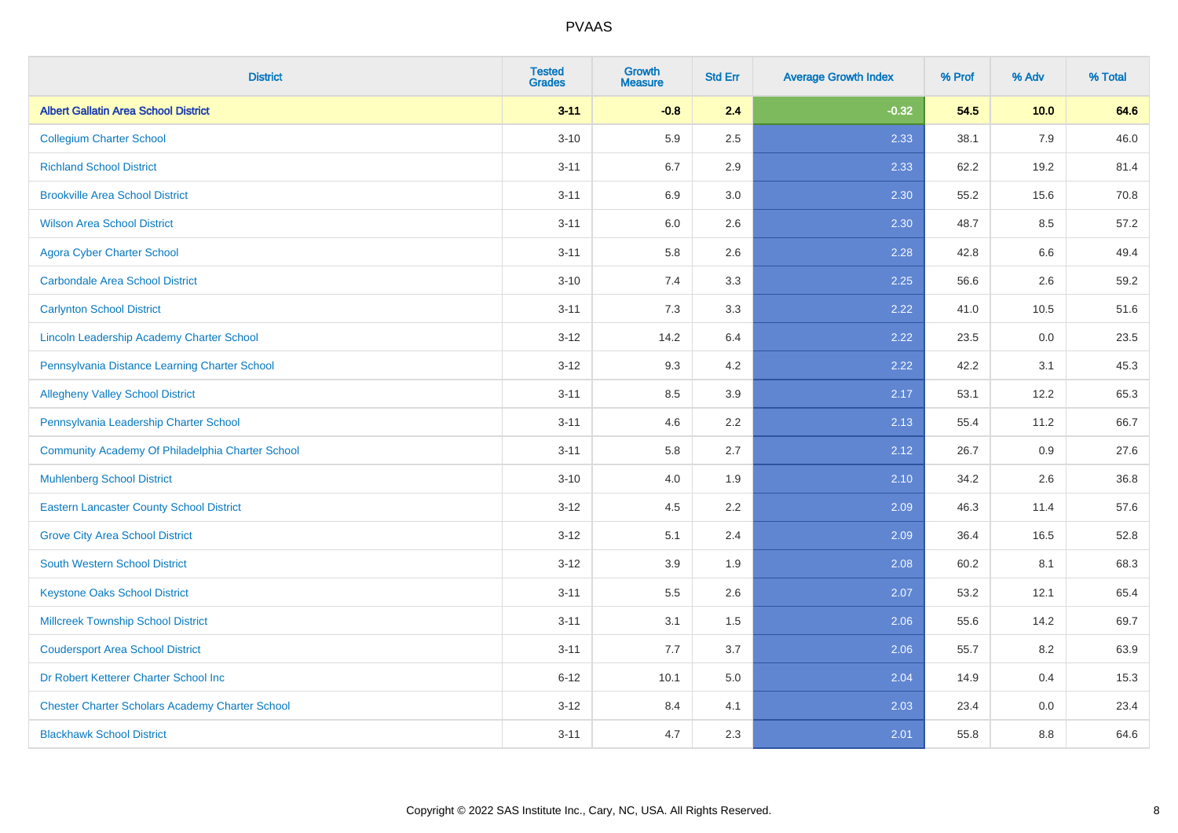| <b>District</b>                                        | <b>Tested</b><br><b>Grades</b> | <b>Growth</b><br><b>Measure</b> | <b>Std Err</b> | <b>Average Growth Index</b> | % Prof | % Adv | % Total |
|--------------------------------------------------------|--------------------------------|---------------------------------|----------------|-----------------------------|--------|-------|---------|
| <b>Albert Gallatin Area School District</b>            | $3 - 11$                       | $-0.8$                          | 2.4            | $-0.32$                     | 54.5   | 10.0  | 64.6    |
| <b>Collegium Charter School</b>                        | $3 - 10$                       | 5.9                             | 2.5            | 2.33                        | 38.1   | 7.9   | 46.0    |
| <b>Richland School District</b>                        | $3 - 11$                       | 6.7                             | 2.9            | 2.33                        | 62.2   | 19.2  | 81.4    |
| <b>Brookville Area School District</b>                 | $3 - 11$                       | 6.9                             | 3.0            | 2.30                        | 55.2   | 15.6  | 70.8    |
| <b>Wilson Area School District</b>                     | $3 - 11$                       | 6.0                             | 2.6            | 2.30                        | 48.7   | 8.5   | 57.2    |
| <b>Agora Cyber Charter School</b>                      | $3 - 11$                       | 5.8                             | 2.6            | 2.28                        | 42.8   | 6.6   | 49.4    |
| <b>Carbondale Area School District</b>                 | $3 - 10$                       | 7.4                             | 3.3            | 2.25                        | 56.6   | 2.6   | 59.2    |
| <b>Carlynton School District</b>                       | $3 - 11$                       | 7.3                             | 3.3            | 2.22                        | 41.0   | 10.5  | 51.6    |
| Lincoln Leadership Academy Charter School              | $3 - 12$                       | 14.2                            | 6.4            | 2.22                        | 23.5   | 0.0   | 23.5    |
| Pennsylvania Distance Learning Charter School          | $3 - 12$                       | 9.3                             | 4.2            | 2.22                        | 42.2   | 3.1   | 45.3    |
| <b>Allegheny Valley School District</b>                | $3 - 11$                       | 8.5                             | 3.9            | 2.17                        | 53.1   | 12.2  | 65.3    |
| Pennsylvania Leadership Charter School                 | $3 - 11$                       | 4.6                             | 2.2            | 2.13                        | 55.4   | 11.2  | 66.7    |
| Community Academy Of Philadelphia Charter School       | $3 - 11$                       | 5.8                             | 2.7            | 2.12                        | 26.7   | 0.9   | 27.6    |
| <b>Muhlenberg School District</b>                      | $3 - 10$                       | 4.0                             | 1.9            | 2.10                        | 34.2   | 2.6   | 36.8    |
| <b>Eastern Lancaster County School District</b>        | $3 - 12$                       | 4.5                             | 2.2            | 2.09                        | 46.3   | 11.4  | 57.6    |
| <b>Grove City Area School District</b>                 | $3 - 12$                       | 5.1                             | 2.4            | 2.09                        | 36.4   | 16.5  | 52.8    |
| <b>South Western School District</b>                   | $3 - 12$                       | 3.9                             | 1.9            | 2.08                        | 60.2   | 8.1   | 68.3    |
| <b>Keystone Oaks School District</b>                   | $3 - 11$                       | 5.5                             | 2.6            | 2.07                        | 53.2   | 12.1  | 65.4    |
| <b>Millcreek Township School District</b>              | $3 - 11$                       | 3.1                             | 1.5            | 2.06                        | 55.6   | 14.2  | 69.7    |
| <b>Coudersport Area School District</b>                | $3 - 11$                       | 7.7                             | 3.7            | 2.06                        | 55.7   | 8.2   | 63.9    |
| Dr Robert Ketterer Charter School Inc                  | $6 - 12$                       | 10.1                            | 5.0            | 2.04                        | 14.9   | 0.4   | 15.3    |
| <b>Chester Charter Scholars Academy Charter School</b> | $3 - 12$                       | 8.4                             | 4.1            | 2.03                        | 23.4   | 0.0   | 23.4    |
| <b>Blackhawk School District</b>                       | $3 - 11$                       | 4.7                             | 2.3            | 2.01                        | 55.8   | 8.8   | 64.6    |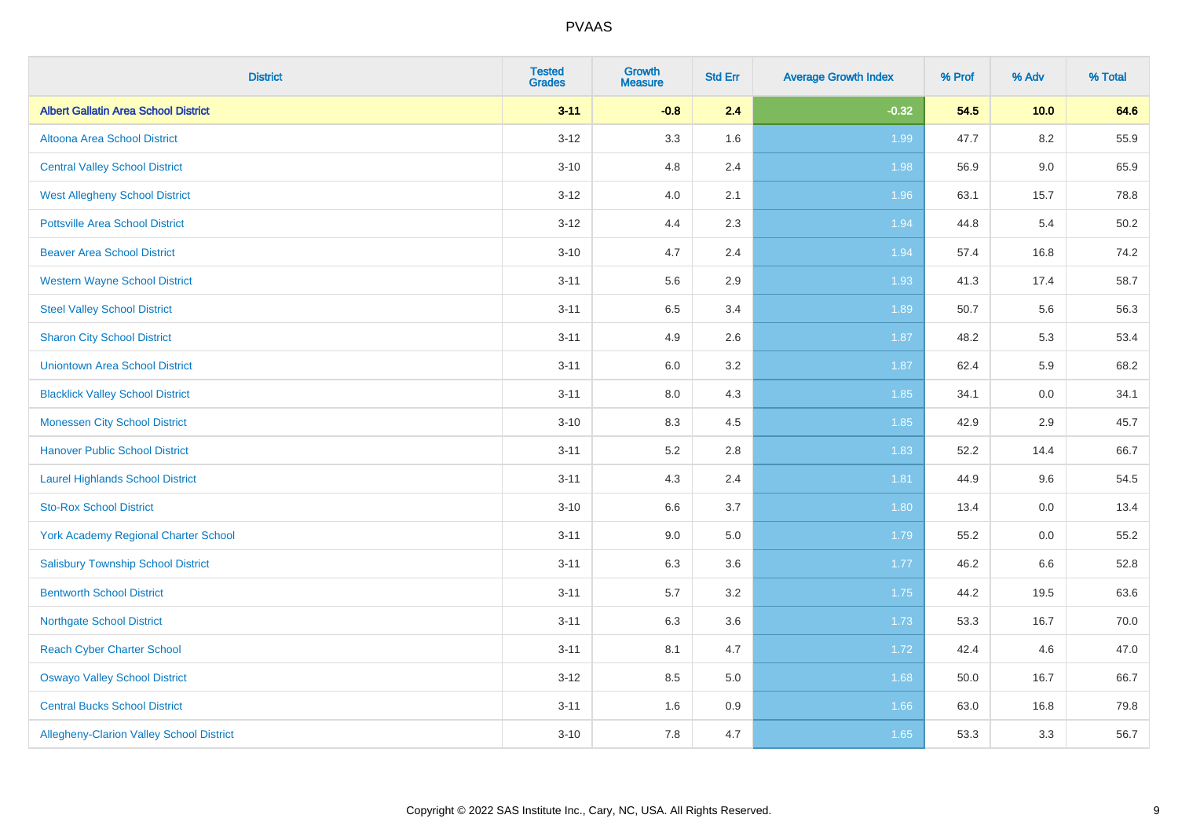| <b>District</b>                                 | <b>Tested</b><br><b>Grades</b> | <b>Growth</b><br><b>Measure</b> | <b>Std Err</b> | <b>Average Growth Index</b> | % Prof | % Adv   | % Total |
|-------------------------------------------------|--------------------------------|---------------------------------|----------------|-----------------------------|--------|---------|---------|
| <b>Albert Gallatin Area School District</b>     | $3 - 11$                       | $-0.8$                          | 2.4            | $-0.32$                     | 54.5   | 10.0    | 64.6    |
| Altoona Area School District                    | $3 - 12$                       | 3.3                             | 1.6            | 1.99                        | 47.7   | 8.2     | 55.9    |
| <b>Central Valley School District</b>           | $3 - 10$                       | 4.8                             | 2.4            | 1.98                        | 56.9   | $9.0\,$ | 65.9    |
| <b>West Allegheny School District</b>           | $3 - 12$                       | 4.0                             | 2.1            | 1.96                        | 63.1   | 15.7    | 78.8    |
| <b>Pottsville Area School District</b>          | $3 - 12$                       | 4.4                             | 2.3            | 1.94                        | 44.8   | 5.4     | 50.2    |
| <b>Beaver Area School District</b>              | $3 - 10$                       | 4.7                             | 2.4            | 1.94                        | 57.4   | 16.8    | 74.2    |
| <b>Western Wayne School District</b>            | $3 - 11$                       | 5.6                             | 2.9            | 1.93                        | 41.3   | 17.4    | 58.7    |
| <b>Steel Valley School District</b>             | $3 - 11$                       | 6.5                             | 3.4            | 1.89                        | 50.7   | 5.6     | 56.3    |
| <b>Sharon City School District</b>              | $3 - 11$                       | 4.9                             | 2.6            | 1.87                        | 48.2   | 5.3     | 53.4    |
| <b>Uniontown Area School District</b>           | $3 - 11$                       | 6.0                             | 3.2            | 1.87                        | 62.4   | 5.9     | 68.2    |
| <b>Blacklick Valley School District</b>         | $3 - 11$                       | 8.0                             | 4.3            | 1.85                        | 34.1   | 0.0     | 34.1    |
| <b>Monessen City School District</b>            | $3 - 10$                       | 8.3                             | 4.5            | 1.85                        | 42.9   | 2.9     | 45.7    |
| <b>Hanover Public School District</b>           | $3 - 11$                       | 5.2                             | 2.8            | 1.83                        | 52.2   | 14.4    | 66.7    |
| <b>Laurel Highlands School District</b>         | $3 - 11$                       | 4.3                             | 2.4            | 1.81                        | 44.9   | 9.6     | 54.5    |
| <b>Sto-Rox School District</b>                  | $3 - 10$                       | 6.6                             | 3.7            | 1.80                        | 13.4   | $0.0\,$ | 13.4    |
| <b>York Academy Regional Charter School</b>     | $3 - 11$                       | 9.0                             | $5.0\,$        | 1.79                        | 55.2   | 0.0     | 55.2    |
| <b>Salisbury Township School District</b>       | $3 - 11$                       | 6.3                             | 3.6            | 1.77                        | 46.2   | 6.6     | 52.8    |
| <b>Bentworth School District</b>                | $3 - 11$                       | 5.7                             | 3.2            | 1.75                        | 44.2   | 19.5    | 63.6    |
| <b>Northgate School District</b>                | $3 - 11$                       | 6.3                             | 3.6            | 1.73                        | 53.3   | 16.7    | 70.0    |
| <b>Reach Cyber Charter School</b>               | $3 - 11$                       | 8.1                             | 4.7            | 1.72                        | 42.4   | 4.6     | 47.0    |
| <b>Oswayo Valley School District</b>            | $3 - 12$                       | 8.5                             | 5.0            | 1.68                        | 50.0   | 16.7    | 66.7    |
| <b>Central Bucks School District</b>            | $3 - 11$                       | 1.6                             | 0.9            | 1.66                        | 63.0   | 16.8    | 79.8    |
| <b>Allegheny-Clarion Valley School District</b> | $3 - 10$                       | $7.8\,$                         | 4.7            | 1.65                        | 53.3   | 3.3     | 56.7    |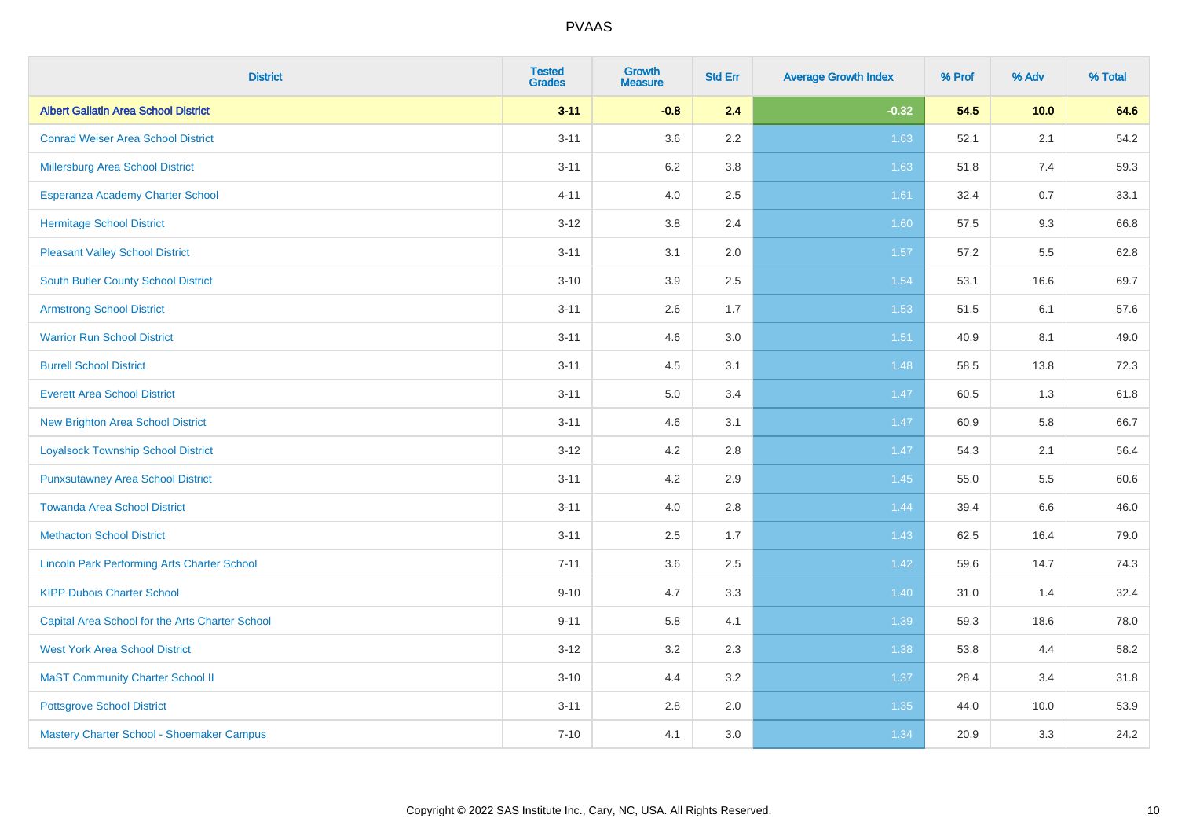| <b>District</b>                                    | <b>Tested</b><br><b>Grades</b> | <b>Growth</b><br><b>Measure</b> | <b>Std Err</b> | <b>Average Growth Index</b> | % Prof | % Adv | % Total |
|----------------------------------------------------|--------------------------------|---------------------------------|----------------|-----------------------------|--------|-------|---------|
| <b>Albert Gallatin Area School District</b>        | $3 - 11$                       | $-0.8$                          | 2.4            | $-0.32$                     | 54.5   | 10.0  | 64.6    |
| <b>Conrad Weiser Area School District</b>          | $3 - 11$                       | 3.6                             | 2.2            | 1.63                        | 52.1   | 2.1   | 54.2    |
| Millersburg Area School District                   | $3 - 11$                       | 6.2                             | 3.8            | 1.63                        | 51.8   | 7.4   | 59.3    |
| Esperanza Academy Charter School                   | $4 - 11$                       | 4.0                             | 2.5            | 1.61                        | 32.4   | 0.7   | 33.1    |
| <b>Hermitage School District</b>                   | $3 - 12$                       | 3.8                             | 2.4            | 1.60                        | 57.5   | 9.3   | 66.8    |
| <b>Pleasant Valley School District</b>             | $3 - 11$                       | 3.1                             | 2.0            | 1.57                        | 57.2   | 5.5   | 62.8    |
| <b>South Butler County School District</b>         | $3 - 10$                       | 3.9                             | 2.5            | 1.54                        | 53.1   | 16.6  | 69.7    |
| <b>Armstrong School District</b>                   | $3 - 11$                       | 2.6                             | 1.7            | 1.53                        | 51.5   | 6.1   | 57.6    |
| <b>Warrior Run School District</b>                 | $3 - 11$                       | 4.6                             | 3.0            | 1.51                        | 40.9   | 8.1   | 49.0    |
| <b>Burrell School District</b>                     | $3 - 11$                       | 4.5                             | 3.1            | 1.48                        | 58.5   | 13.8  | 72.3    |
| <b>Everett Area School District</b>                | $3 - 11$                       | 5.0                             | 3.4            | 1.47                        | 60.5   | 1.3   | 61.8    |
| <b>New Brighton Area School District</b>           | $3 - 11$                       | 4.6                             | 3.1            | 1.47                        | 60.9   | 5.8   | 66.7    |
| <b>Loyalsock Township School District</b>          | $3 - 12$                       | 4.2                             | 2.8            | 1.47                        | 54.3   | 2.1   | 56.4    |
| <b>Punxsutawney Area School District</b>           | $3 - 11$                       | 4.2                             | 2.9            | 1.45                        | 55.0   | 5.5   | 60.6    |
| <b>Towanda Area School District</b>                | $3 - 11$                       | 4.0                             | 2.8            | 1.44                        | 39.4   | 6.6   | 46.0    |
| <b>Methacton School District</b>                   | $3 - 11$                       | 2.5                             | 1.7            | 1.43                        | 62.5   | 16.4  | 79.0    |
| <b>Lincoln Park Performing Arts Charter School</b> | $7 - 11$                       | 3.6                             | 2.5            | 1.42                        | 59.6   | 14.7  | 74.3    |
| <b>KIPP Dubois Charter School</b>                  | $9 - 10$                       | 4.7                             | 3.3            | 1.40                        | 31.0   | 1.4   | 32.4    |
| Capital Area School for the Arts Charter School    | $9 - 11$                       | 5.8                             | 4.1            | 1.39                        | 59.3   | 18.6  | 78.0    |
| <b>West York Area School District</b>              | $3 - 12$                       | 3.2                             | 2.3            | 1.38                        | 53.8   | 4.4   | 58.2    |
| <b>MaST Community Charter School II</b>            | $3 - 10$                       | 4.4                             | 3.2            | 1.37                        | 28.4   | 3.4   | 31.8    |
| <b>Pottsgrove School District</b>                  | $3 - 11$                       | 2.8                             | 2.0            | 1.35                        | 44.0   | 10.0  | 53.9    |
| Mastery Charter School - Shoemaker Campus          | $7 - 10$                       | 4.1                             | 3.0            | 1.34                        | 20.9   | 3.3   | 24.2    |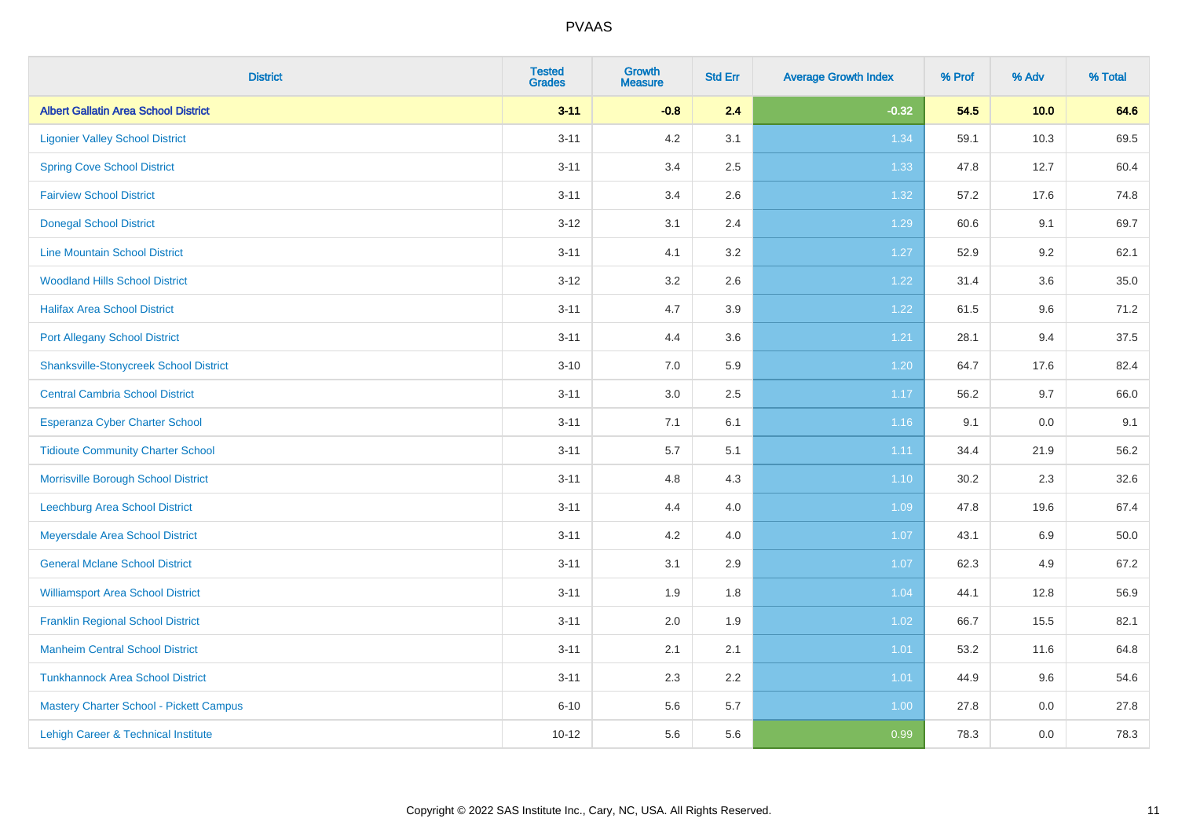| <b>District</b>                               | <b>Tested</b><br><b>Grades</b> | <b>Growth</b><br><b>Measure</b> | <b>Std Err</b> | <b>Average Growth Index</b> | % Prof | % Adv | % Total |
|-----------------------------------------------|--------------------------------|---------------------------------|----------------|-----------------------------|--------|-------|---------|
| <b>Albert Gallatin Area School District</b>   | $3 - 11$                       | $-0.8$                          | 2.4            | $-0.32$                     | 54.5   | 10.0  | 64.6    |
| <b>Ligonier Valley School District</b>        | $3 - 11$                       | 4.2                             | 3.1            | 1.34                        | 59.1   | 10.3  | 69.5    |
| <b>Spring Cove School District</b>            | $3 - 11$                       | 3.4                             | 2.5            | 1.33                        | 47.8   | 12.7  | 60.4    |
| <b>Fairview School District</b>               | $3 - 11$                       | 3.4                             | 2.6            | 1.32                        | 57.2   | 17.6  | 74.8    |
| <b>Donegal School District</b>                | $3 - 12$                       | 3.1                             | 2.4            | 1.29                        | 60.6   | 9.1   | 69.7    |
| <b>Line Mountain School District</b>          | $3 - 11$                       | 4.1                             | 3.2            | 1.27                        | 52.9   | 9.2   | 62.1    |
| <b>Woodland Hills School District</b>         | $3 - 12$                       | 3.2                             | 2.6            | 1.22                        | 31.4   | 3.6   | 35.0    |
| <b>Halifax Area School District</b>           | $3 - 11$                       | 4.7                             | 3.9            | 1.22                        | 61.5   | 9.6   | 71.2    |
| <b>Port Allegany School District</b>          | $3 - 11$                       | 4.4                             | 3.6            | 1.21                        | 28.1   | 9.4   | 37.5    |
| <b>Shanksville-Stonycreek School District</b> | $3 - 10$                       | 7.0                             | 5.9            | 1.20                        | 64.7   | 17.6  | 82.4    |
| <b>Central Cambria School District</b>        | $3 - 11$                       | 3.0                             | 2.5            | 1.17                        | 56.2   | 9.7   | 66.0    |
| Esperanza Cyber Charter School                | $3 - 11$                       | 7.1                             | 6.1            | 1.16                        | 9.1    | 0.0   | 9.1     |
| <b>Tidioute Community Charter School</b>      | $3 - 11$                       | 5.7                             | 5.1            | 1.11                        | 34.4   | 21.9  | 56.2    |
| Morrisville Borough School District           | $3 - 11$                       | 4.8                             | 4.3            | $1.10$                      | 30.2   | 2.3   | 32.6    |
| <b>Leechburg Area School District</b>         | $3 - 11$                       | 4.4                             | 4.0            | 1.09                        | 47.8   | 19.6  | 67.4    |
| Meyersdale Area School District               | $3 - 11$                       | 4.2                             | 4.0            | 1.07                        | 43.1   | 6.9   | 50.0    |
| <b>General Mclane School District</b>         | $3 - 11$                       | 3.1                             | 2.9            | 1.07                        | 62.3   | 4.9   | 67.2    |
| <b>Williamsport Area School District</b>      | $3 - 11$                       | 1.9                             | 1.8            | 1.04                        | 44.1   | 12.8  | 56.9    |
| <b>Franklin Regional School District</b>      | $3 - 11$                       | 2.0                             | 1.9            | 1.02                        | 66.7   | 15.5  | 82.1    |
| <b>Manheim Central School District</b>        | $3 - 11$                       | 2.1                             | 2.1            | $1.01$                      | 53.2   | 11.6  | 64.8    |
| <b>Tunkhannock Area School District</b>       | $3 - 11$                       | 2.3                             | 2.2            | 1.01                        | 44.9   | 9.6   | 54.6    |
| Mastery Charter School - Pickett Campus       | $6 - 10$                       | 5.6                             | 5.7            | 1.00                        | 27.8   | 0.0   | 27.8    |
| Lehigh Career & Technical Institute           | $10 - 12$                      | 5.6                             | 5.6            | 0.99                        | 78.3   | 0.0   | 78.3    |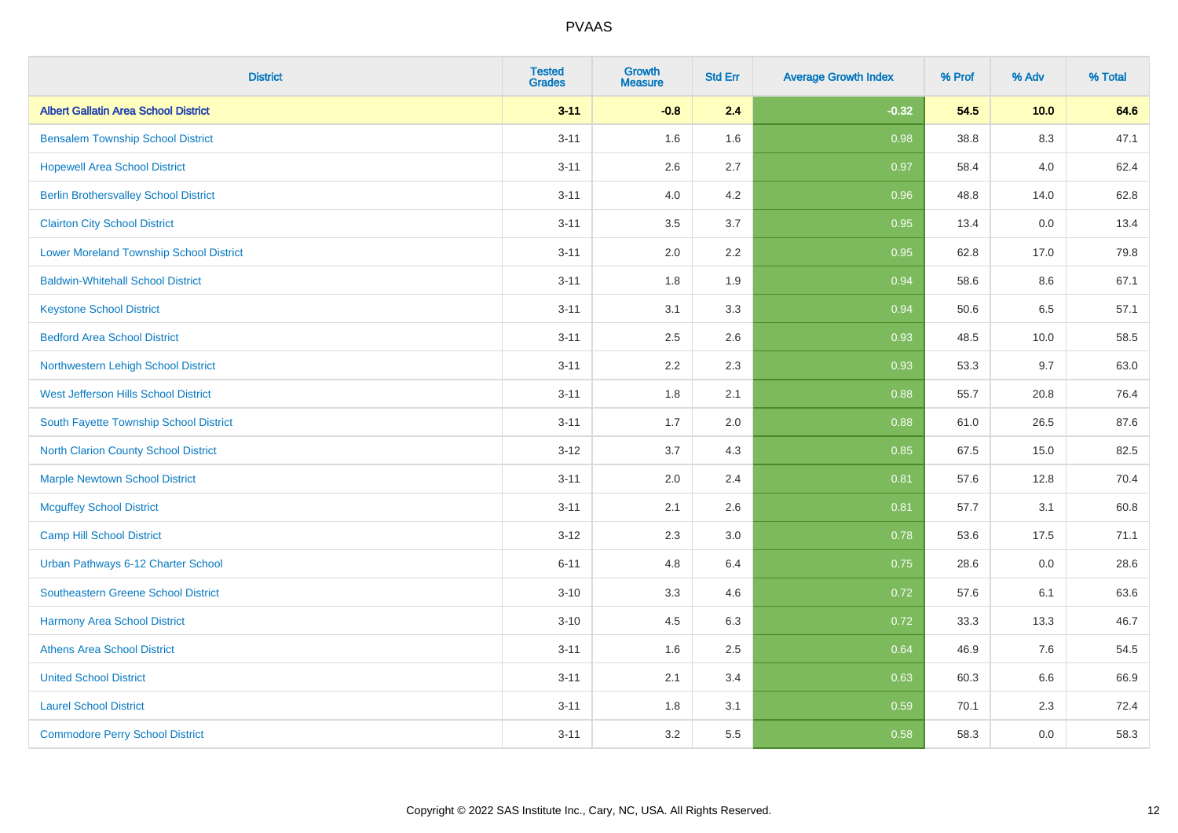| <b>District</b>                              | <b>Tested</b><br><b>Grades</b> | <b>Growth</b><br><b>Measure</b> | <b>Std Err</b> | <b>Average Growth Index</b> | % Prof | % Adv   | % Total |
|----------------------------------------------|--------------------------------|---------------------------------|----------------|-----------------------------|--------|---------|---------|
| <b>Albert Gallatin Area School District</b>  | $3 - 11$                       | $-0.8$                          | 2.4            | $-0.32$                     | 54.5   | 10.0    | 64.6    |
| <b>Bensalem Township School District</b>     | $3 - 11$                       | 1.6                             | 1.6            | 0.98                        | 38.8   | $8.3\,$ | 47.1    |
| <b>Hopewell Area School District</b>         | $3 - 11$                       | 2.6                             | 2.7            | 0.97                        | 58.4   | 4.0     | 62.4    |
| <b>Berlin Brothersvalley School District</b> | $3 - 11$                       | 4.0                             | 4.2            | 0.96                        | 48.8   | 14.0    | 62.8    |
| <b>Clairton City School District</b>         | $3 - 11$                       | 3.5                             | 3.7            | 0.95                        | 13.4   | 0.0     | 13.4    |
| Lower Moreland Township School District      | $3 - 11$                       | 2.0                             | 2.2            | 0.95                        | 62.8   | 17.0    | 79.8    |
| <b>Baldwin-Whitehall School District</b>     | $3 - 11$                       | 1.8                             | 1.9            | 0.94                        | 58.6   | 8.6     | 67.1    |
| <b>Keystone School District</b>              | $3 - 11$                       | 3.1                             | 3.3            | 0.94                        | 50.6   | 6.5     | 57.1    |
| <b>Bedford Area School District</b>          | $3 - 11$                       | 2.5                             | 2.6            | 0.93                        | 48.5   | 10.0    | 58.5    |
| Northwestern Lehigh School District          | $3 - 11$                       | 2.2                             | 2.3            | 0.93                        | 53.3   | 9.7     | 63.0    |
| West Jefferson Hills School District         | $3 - 11$                       | 1.8                             | 2.1            | 0.88                        | 55.7   | 20.8    | 76.4    |
| South Fayette Township School District       | $3 - 11$                       | 1.7                             | 2.0            | 0.88                        | 61.0   | 26.5    | 87.6    |
| <b>North Clarion County School District</b>  | $3-12$                         | 3.7                             | 4.3            | 0.85                        | 67.5   | 15.0    | 82.5    |
| <b>Marple Newtown School District</b>        | $3 - 11$                       | 2.0                             | 2.4            | 0.81                        | 57.6   | 12.8    | 70.4    |
| <b>Mcguffey School District</b>              | $3 - 11$                       | 2.1                             | 2.6            | 0.81                        | 57.7   | 3.1     | 60.8    |
| Camp Hill School District                    | $3-12$                         | 2.3                             | 3.0            | 0.78                        | 53.6   | 17.5    | 71.1    |
| Urban Pathways 6-12 Charter School           | $6 - 11$                       | 4.8                             | 6.4            | 0.75                        | 28.6   | 0.0     | 28.6    |
| Southeastern Greene School District          | $3 - 10$                       | 3.3                             | 4.6            | 0.72                        | 57.6   | 6.1     | 63.6    |
| <b>Harmony Area School District</b>          | $3 - 10$                       | 4.5                             | 6.3            | 0.72                        | 33.3   | 13.3    | 46.7    |
| <b>Athens Area School District</b>           | $3 - 11$                       | 1.6                             | 2.5            | 0.64                        | 46.9   | 7.6     | 54.5    |
| <b>United School District</b>                | $3 - 11$                       | 2.1                             | 3.4            | 0.63                        | 60.3   | 6.6     | 66.9    |
| <b>Laurel School District</b>                | $3 - 11$                       | 1.8                             | 3.1            | 0.59                        | 70.1   | 2.3     | 72.4    |
| <b>Commodore Perry School District</b>       | $3 - 11$                       | 3.2                             | 5.5            | 0.58                        | 58.3   | 0.0     | 58.3    |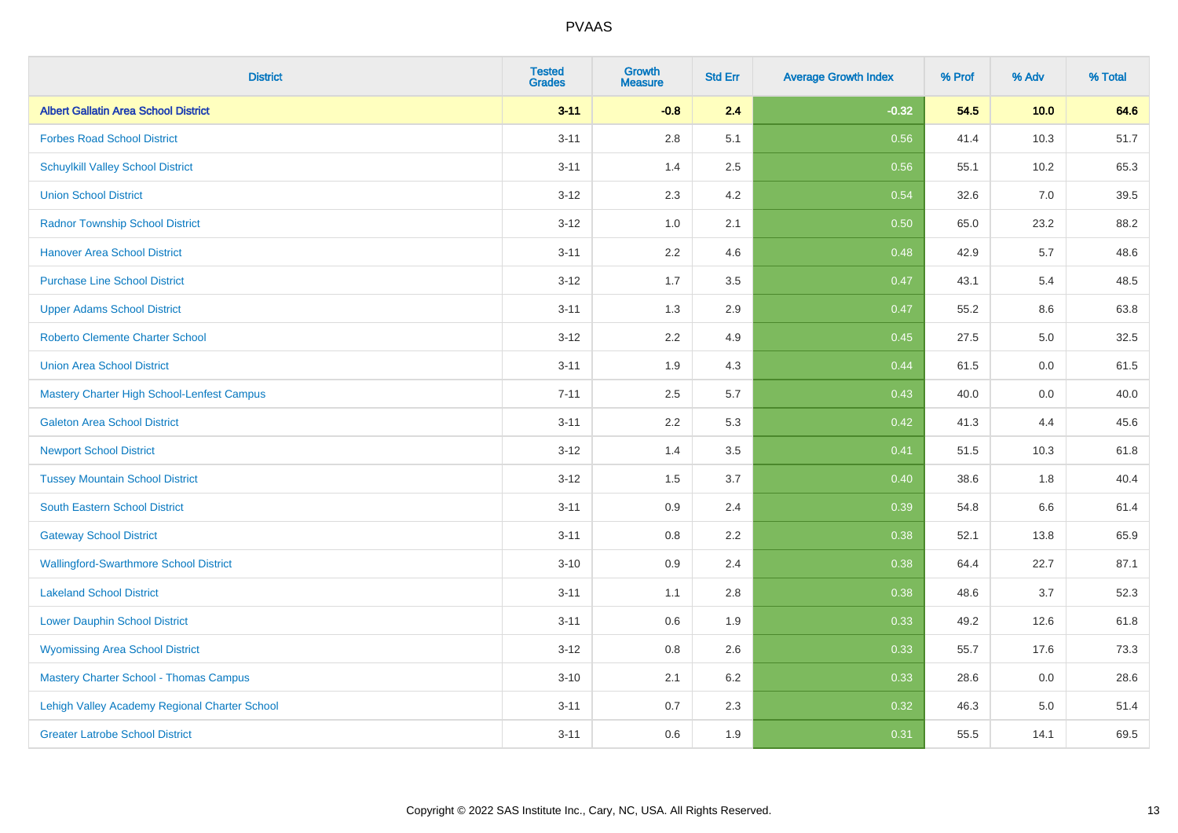| <b>District</b>                               | <b>Tested</b><br><b>Grades</b> | <b>Growth</b><br><b>Measure</b> | <b>Std Err</b> | <b>Average Growth Index</b> | % Prof | % Adv   | % Total |
|-----------------------------------------------|--------------------------------|---------------------------------|----------------|-----------------------------|--------|---------|---------|
| <b>Albert Gallatin Area School District</b>   | $3 - 11$                       | $-0.8$                          | 2.4            | $-0.32$                     | 54.5   | 10.0    | 64.6    |
| <b>Forbes Road School District</b>            | $3 - 11$                       | 2.8                             | 5.1            | 0.56                        | 41.4   | 10.3    | 51.7    |
| <b>Schuylkill Valley School District</b>      | $3 - 11$                       | 1.4                             | 2.5            | 0.56                        | 55.1   | 10.2    | 65.3    |
| <b>Union School District</b>                  | $3 - 12$                       | $2.3\,$                         | 4.2            | 0.54                        | 32.6   | $7.0\,$ | 39.5    |
| <b>Radnor Township School District</b>        | $3 - 12$                       | 1.0                             | 2.1            | 0.50                        | 65.0   | 23.2    | 88.2    |
| <b>Hanover Area School District</b>           | $3 - 11$                       | 2.2                             | 4.6            | 0.48                        | 42.9   | 5.7     | 48.6    |
| <b>Purchase Line School District</b>          | $3 - 12$                       | 1.7                             | 3.5            | 0.47                        | 43.1   | 5.4     | 48.5    |
| <b>Upper Adams School District</b>            | $3 - 11$                       | 1.3                             | 2.9            | 0.47                        | 55.2   | 8.6     | 63.8    |
| <b>Roberto Clemente Charter School</b>        | $3 - 12$                       | 2.2                             | 4.9            | 0.45                        | 27.5   | 5.0     | 32.5    |
| <b>Union Area School District</b>             | $3 - 11$                       | 1.9                             | 4.3            | 0.44                        | 61.5   | 0.0     | 61.5    |
| Mastery Charter High School-Lenfest Campus    | $7 - 11$                       | 2.5                             | 5.7            | 0.43                        | 40.0   | 0.0     | 40.0    |
| <b>Galeton Area School District</b>           | $3 - 11$                       | 2.2                             | 5.3            | 0.42                        | 41.3   | 4.4     | 45.6    |
| <b>Newport School District</b>                | $3 - 12$                       | 1.4                             | 3.5            | 0.41                        | 51.5   | 10.3    | 61.8    |
| <b>Tussey Mountain School District</b>        | $3 - 12$                       | 1.5                             | 3.7            | 0.40                        | 38.6   | 1.8     | 40.4    |
| <b>South Eastern School District</b>          | $3 - 11$                       | 0.9                             | 2.4            | 0.39                        | 54.8   | 6.6     | 61.4    |
| <b>Gateway School District</b>                | $3 - 11$                       | 0.8                             | 2.2            | 0.38                        | 52.1   | 13.8    | 65.9    |
| <b>Wallingford-Swarthmore School District</b> | $3 - 10$                       | 0.9                             | 2.4            | 0.38                        | 64.4   | 22.7    | 87.1    |
| <b>Lakeland School District</b>               | $3 - 11$                       | 1.1                             | 2.8            | 0.38                        | 48.6   | 3.7     | 52.3    |
| <b>Lower Dauphin School District</b>          | $3 - 11$                       | 0.6                             | 1.9            | 0.33                        | 49.2   | 12.6    | 61.8    |
| <b>Wyomissing Area School District</b>        | $3 - 12$                       | 0.8                             | 2.6            | 0.33                        | 55.7   | 17.6    | 73.3    |
| <b>Mastery Charter School - Thomas Campus</b> | $3 - 10$                       | 2.1                             | 6.2            | 0.33                        | 28.6   | 0.0     | 28.6    |
| Lehigh Valley Academy Regional Charter School | $3 - 11$                       | 0.7                             | 2.3            | 0.32                        | 46.3   | 5.0     | 51.4    |
| <b>Greater Latrobe School District</b>        | $3 - 11$                       | 0.6                             | 1.9            | 0.31                        | 55.5   | 14.1    | 69.5    |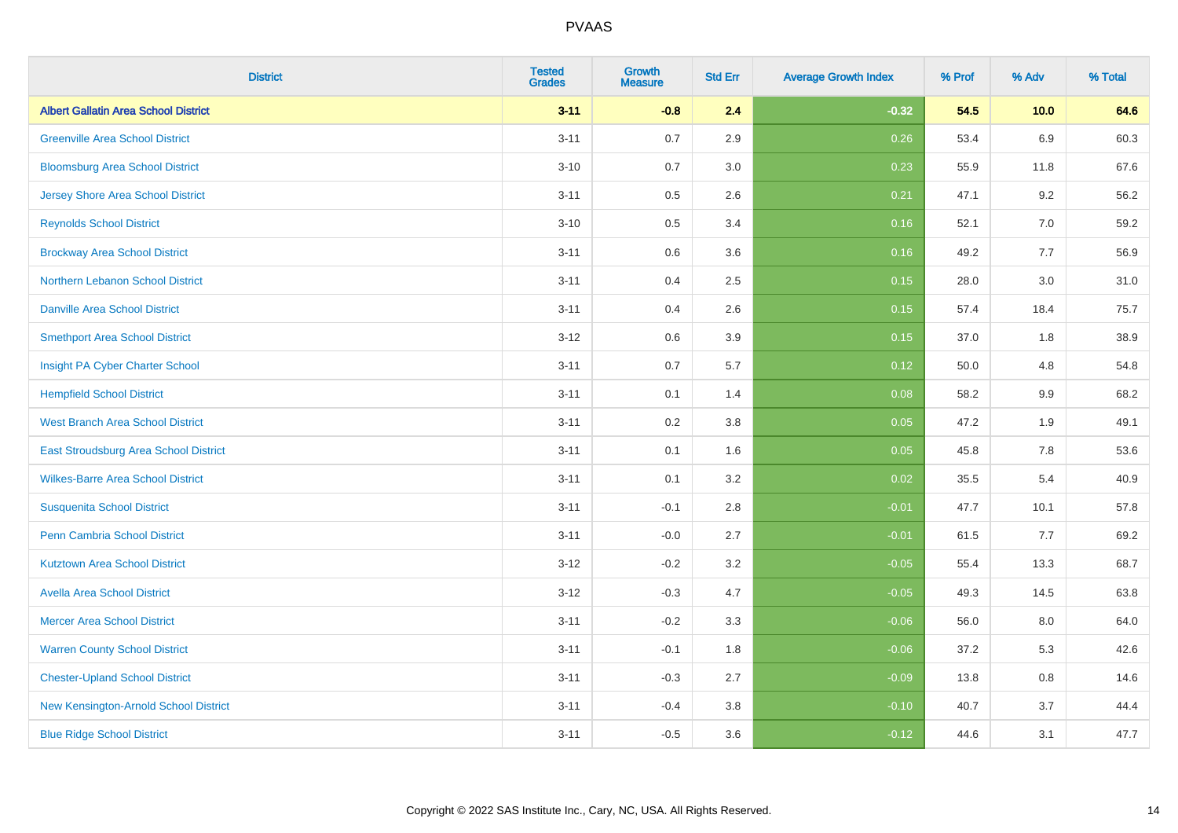| <b>District</b>                             | <b>Tested</b><br><b>Grades</b> | <b>Growth</b><br><b>Measure</b> | <b>Std Err</b> | <b>Average Growth Index</b> | % Prof | % Adv   | % Total |
|---------------------------------------------|--------------------------------|---------------------------------|----------------|-----------------------------|--------|---------|---------|
| <b>Albert Gallatin Area School District</b> | $3 - 11$                       | $-0.8$                          | 2.4            | $-0.32$                     | 54.5   | 10.0    | 64.6    |
| <b>Greenville Area School District</b>      | $3 - 11$                       | 0.7                             | 2.9            | 0.26                        | 53.4   | 6.9     | 60.3    |
| <b>Bloomsburg Area School District</b>      | $3 - 10$                       | 0.7                             | 3.0            | 0.23                        | 55.9   | 11.8    | 67.6    |
| <b>Jersey Shore Area School District</b>    | $3 - 11$                       | 0.5                             | 2.6            | 0.21                        | 47.1   | 9.2     | 56.2    |
| <b>Reynolds School District</b>             | $3 - 10$                       | 0.5                             | 3.4            | 0.16                        | 52.1   | 7.0     | 59.2    |
| <b>Brockway Area School District</b>        | $3 - 11$                       | 0.6                             | 3.6            | 0.16                        | 49.2   | 7.7     | 56.9    |
| Northern Lebanon School District            | $3 - 11$                       | 0.4                             | 2.5            | 0.15                        | 28.0   | 3.0     | 31.0    |
| <b>Danville Area School District</b>        | $3 - 11$                       | 0.4                             | 2.6            | 0.15                        | 57.4   | 18.4    | 75.7    |
| <b>Smethport Area School District</b>       | $3 - 12$                       | 0.6                             | 3.9            | 0.15                        | 37.0   | 1.8     | 38.9    |
| Insight PA Cyber Charter School             | $3 - 11$                       | 0.7                             | 5.7            | 0.12                        | 50.0   | 4.8     | 54.8    |
| <b>Hempfield School District</b>            | $3 - 11$                       | 0.1                             | 1.4            | 0.08                        | 58.2   | 9.9     | 68.2    |
| <b>West Branch Area School District</b>     | $3 - 11$                       | 0.2                             | 3.8            | 0.05                        | 47.2   | 1.9     | 49.1    |
| East Stroudsburg Area School District       | $3 - 11$                       | 0.1                             | 1.6            | 0.05                        | 45.8   | $7.8\,$ | 53.6    |
| <b>Wilkes-Barre Area School District</b>    | $3 - 11$                       | 0.1                             | 3.2            | 0.02                        | 35.5   | 5.4     | 40.9    |
| <b>Susquenita School District</b>           | $3 - 11$                       | $-0.1$                          | 2.8            | $-0.01$                     | 47.7   | 10.1    | 57.8    |
| <b>Penn Cambria School District</b>         | $3 - 11$                       | $-0.0$                          | 2.7            | $-0.01$                     | 61.5   | 7.7     | 69.2    |
| <b>Kutztown Area School District</b>        | $3 - 12$                       | $-0.2$                          | 3.2            | $-0.05$                     | 55.4   | 13.3    | 68.7    |
| <b>Avella Area School District</b>          | $3 - 12$                       | $-0.3$                          | 4.7            | $-0.05$                     | 49.3   | 14.5    | 63.8    |
| <b>Mercer Area School District</b>          | $3 - 11$                       | $-0.2$                          | 3.3            | $-0.06$                     | 56.0   | 8.0     | 64.0    |
| <b>Warren County School District</b>        | $3 - 11$                       | $-0.1$                          | 1.8            | $-0.06$                     | 37.2   | 5.3     | 42.6    |
| <b>Chester-Upland School District</b>       | $3 - 11$                       | $-0.3$                          | 2.7            | $-0.09$                     | 13.8   | 0.8     | 14.6    |
| New Kensington-Arnold School District       | $3 - 11$                       | $-0.4$                          | 3.8            | $-0.10$                     | 40.7   | 3.7     | 44.4    |
| <b>Blue Ridge School District</b>           | $3 - 11$                       | $-0.5$                          | 3.6            | $-0.12$                     | 44.6   | 3.1     | 47.7    |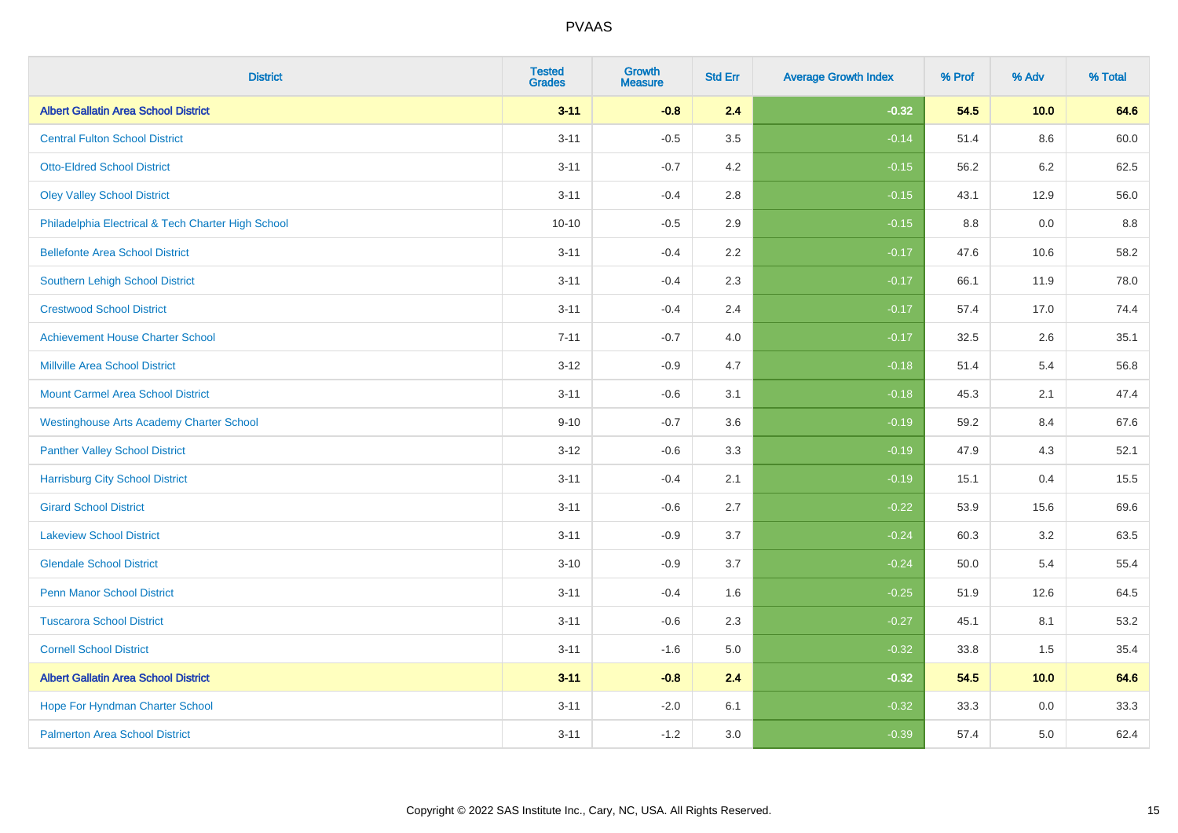| <b>District</b>                                    | <b>Tested</b><br><b>Grades</b> | <b>Growth</b><br><b>Measure</b> | <b>Std Err</b> | <b>Average Growth Index</b> | % Prof | % Adv | % Total |
|----------------------------------------------------|--------------------------------|---------------------------------|----------------|-----------------------------|--------|-------|---------|
| <b>Albert Gallatin Area School District</b>        | $3 - 11$                       | $-0.8$                          | 2.4            | $-0.32$                     | 54.5   | 10.0  | 64.6    |
| <b>Central Fulton School District</b>              | $3 - 11$                       | $-0.5$                          | 3.5            | $-0.14$                     | 51.4   | 8.6   | 60.0    |
| <b>Otto-Eldred School District</b>                 | $3 - 11$                       | $-0.7$                          | 4.2            | $-0.15$                     | 56.2   | 6.2   | 62.5    |
| <b>Oley Valley School District</b>                 | $3 - 11$                       | $-0.4$                          | 2.8            | $-0.15$                     | 43.1   | 12.9  | 56.0    |
| Philadelphia Electrical & Tech Charter High School | $10 - 10$                      | $-0.5$                          | 2.9            | $-0.15$                     | 8.8    | 0.0   | 8.8     |
| <b>Bellefonte Area School District</b>             | $3 - 11$                       | $-0.4$                          | 2.2            | $-0.17$                     | 47.6   | 10.6  | 58.2    |
| Southern Lehigh School District                    | $3 - 11$                       | $-0.4$                          | 2.3            | $-0.17$                     | 66.1   | 11.9  | 78.0    |
| <b>Crestwood School District</b>                   | $3 - 11$                       | $-0.4$                          | 2.4            | $-0.17$                     | 57.4   | 17.0  | 74.4    |
| <b>Achievement House Charter School</b>            | $7 - 11$                       | $-0.7$                          | 4.0            | $-0.17$                     | 32.5   | 2.6   | 35.1    |
| <b>Millville Area School District</b>              | $3 - 12$                       | $-0.9$                          | 4.7            | $-0.18$                     | 51.4   | 5.4   | 56.8    |
| <b>Mount Carmel Area School District</b>           | $3 - 11$                       | $-0.6$                          | 3.1            | $-0.18$                     | 45.3   | 2.1   | 47.4    |
| <b>Westinghouse Arts Academy Charter School</b>    | $9 - 10$                       | $-0.7$                          | 3.6            | $-0.19$                     | 59.2   | 8.4   | 67.6    |
| <b>Panther Valley School District</b>              | $3 - 12$                       | $-0.6$                          | 3.3            | $-0.19$                     | 47.9   | 4.3   | 52.1    |
| <b>Harrisburg City School District</b>             | $3 - 11$                       | $-0.4$                          | 2.1            | $-0.19$                     | 15.1   | 0.4   | 15.5    |
| <b>Girard School District</b>                      | $3 - 11$                       | $-0.6$                          | 2.7            | $-0.22$                     | 53.9   | 15.6  | 69.6    |
| <b>Lakeview School District</b>                    | $3 - 11$                       | $-0.9$                          | 3.7            | $-0.24$                     | 60.3   | 3.2   | 63.5    |
| <b>Glendale School District</b>                    | $3 - 10$                       | $-0.9$                          | 3.7            | $-0.24$                     | 50.0   | 5.4   | 55.4    |
| <b>Penn Manor School District</b>                  | $3 - 11$                       | $-0.4$                          | 1.6            | $-0.25$                     | 51.9   | 12.6  | 64.5    |
| <b>Tuscarora School District</b>                   | $3 - 11$                       | $-0.6$                          | 2.3            | $-0.27$                     | 45.1   | 8.1   | 53.2    |
| <b>Cornell School District</b>                     | $3 - 11$                       | $-1.6$                          | 5.0            | $-0.32$                     | 33.8   | 1.5   | 35.4    |
| <b>Albert Gallatin Area School District</b>        | $3 - 11$                       | $-0.8$                          | 2.4            | $-0.32$                     | 54.5   | 10.0  | 64.6    |
| Hope For Hyndman Charter School                    | $3 - 11$                       | $-2.0$                          | 6.1            | $-0.32$                     | 33.3   | 0.0   | 33.3    |
| <b>Palmerton Area School District</b>              | $3 - 11$                       | $-1.2$                          | 3.0            | $-0.39$                     | 57.4   | 5.0   | 62.4    |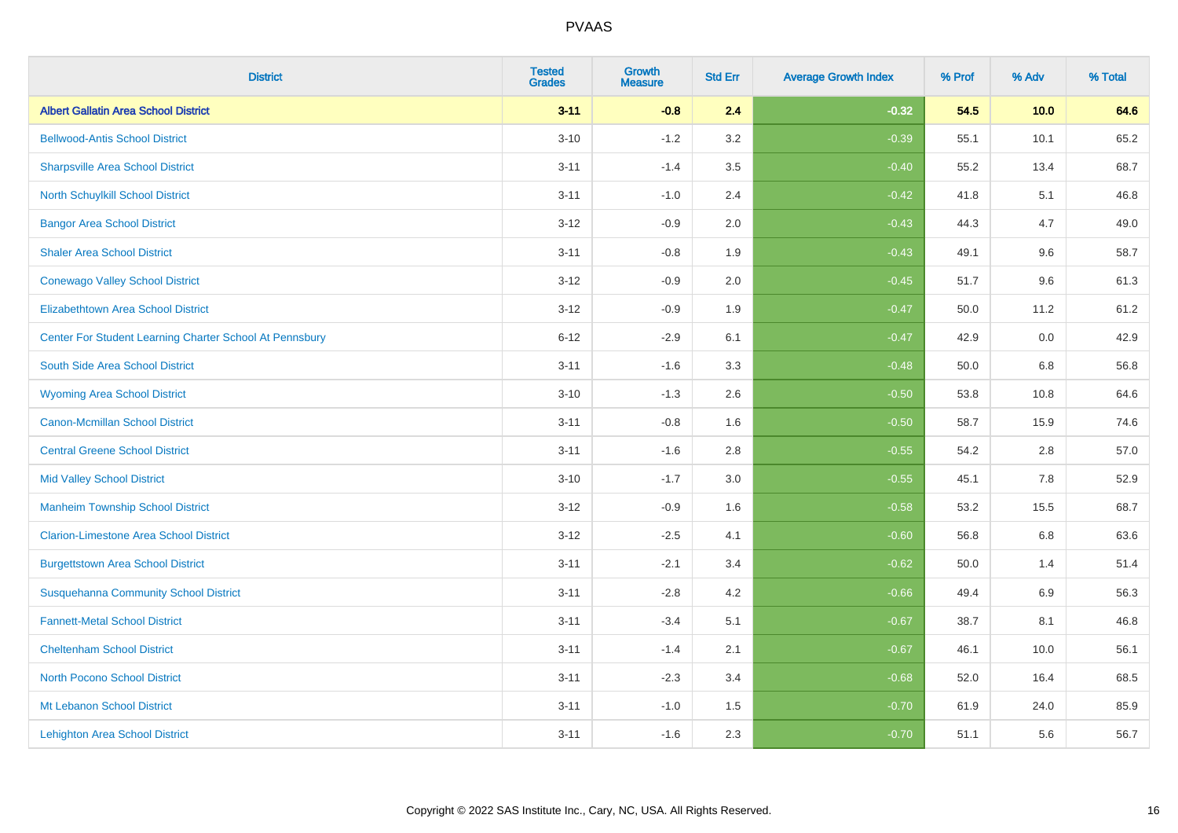| <b>District</b>                                         | <b>Tested</b><br><b>Grades</b> | <b>Growth</b><br><b>Measure</b> | <b>Std Err</b> | <b>Average Growth Index</b> | % Prof | % Adv   | % Total |
|---------------------------------------------------------|--------------------------------|---------------------------------|----------------|-----------------------------|--------|---------|---------|
| <b>Albert Gallatin Area School District</b>             | $3 - 11$                       | $-0.8$                          | 2.4            | $-0.32$                     | 54.5   | 10.0    | 64.6    |
| <b>Bellwood-Antis School District</b>                   | $3 - 10$                       | $-1.2$                          | 3.2            | $-0.39$                     | 55.1   | 10.1    | 65.2    |
| <b>Sharpsville Area School District</b>                 | $3 - 11$                       | $-1.4$                          | 3.5            | $-0.40$                     | 55.2   | 13.4    | 68.7    |
| North Schuylkill School District                        | $3 - 11$                       | $-1.0$                          | 2.4            | $-0.42$                     | 41.8   | 5.1     | 46.8    |
| <b>Bangor Area School District</b>                      | $3 - 12$                       | $-0.9$                          | 2.0            | $-0.43$                     | 44.3   | 4.7     | 49.0    |
| <b>Shaler Area School District</b>                      | $3 - 11$                       | $-0.8$                          | 1.9            | $-0.43$                     | 49.1   | 9.6     | 58.7    |
| <b>Conewago Valley School District</b>                  | $3 - 12$                       | $-0.9$                          | 2.0            | $-0.45$                     | 51.7   | 9.6     | 61.3    |
| <b>Elizabethtown Area School District</b>               | $3 - 12$                       | $-0.9$                          | 1.9            | $-0.47$                     | 50.0   | 11.2    | 61.2    |
| Center For Student Learning Charter School At Pennsbury | $6 - 12$                       | $-2.9$                          | 6.1            | $-0.47$                     | 42.9   | 0.0     | 42.9    |
| South Side Area School District                         | $3 - 11$                       | $-1.6$                          | 3.3            | $-0.48$                     | 50.0   | 6.8     | 56.8    |
| <b>Wyoming Area School District</b>                     | $3 - 10$                       | $-1.3$                          | 2.6            | $-0.50$                     | 53.8   | 10.8    | 64.6    |
| <b>Canon-Mcmillan School District</b>                   | $3 - 11$                       | $-0.8$                          | 1.6            | $-0.50$                     | 58.7   | 15.9    | 74.6    |
| <b>Central Greene School District</b>                   | $3 - 11$                       | $-1.6$                          | 2.8            | $-0.55$                     | 54.2   | 2.8     | 57.0    |
| <b>Mid Valley School District</b>                       | $3 - 10$                       | $-1.7$                          | 3.0            | $-0.55$                     | 45.1   | $7.8\,$ | 52.9    |
| <b>Manheim Township School District</b>                 | $3 - 12$                       | $-0.9$                          | 1.6            | $-0.58$                     | 53.2   | 15.5    | 68.7    |
| <b>Clarion-Limestone Area School District</b>           | $3 - 12$                       | $-2.5$                          | 4.1            | $-0.60$                     | 56.8   | 6.8     | 63.6    |
| <b>Burgettstown Area School District</b>                | $3 - 11$                       | $-2.1$                          | 3.4            | $-0.62$                     | 50.0   | 1.4     | 51.4    |
| <b>Susquehanna Community School District</b>            | $3 - 11$                       | $-2.8$                          | 4.2            | $-0.66$                     | 49.4   | 6.9     | 56.3    |
| <b>Fannett-Metal School District</b>                    | $3 - 11$                       | $-3.4$                          | 5.1            | $-0.67$                     | 38.7   | 8.1     | 46.8    |
| <b>Cheltenham School District</b>                       | $3 - 11$                       | $-1.4$                          | 2.1            | $-0.67$                     | 46.1   | 10.0    | 56.1    |
| <b>North Pocono School District</b>                     | $3 - 11$                       | $-2.3$                          | 3.4            | $-0.68$                     | 52.0   | 16.4    | 68.5    |
| Mt Lebanon School District                              | $3 - 11$                       | $-1.0$                          | 1.5            | $-0.70$                     | 61.9   | 24.0    | 85.9    |
| <b>Lehighton Area School District</b>                   | $3 - 11$                       | $-1.6$                          | 2.3            | $-0.70$                     | 51.1   | 5.6     | 56.7    |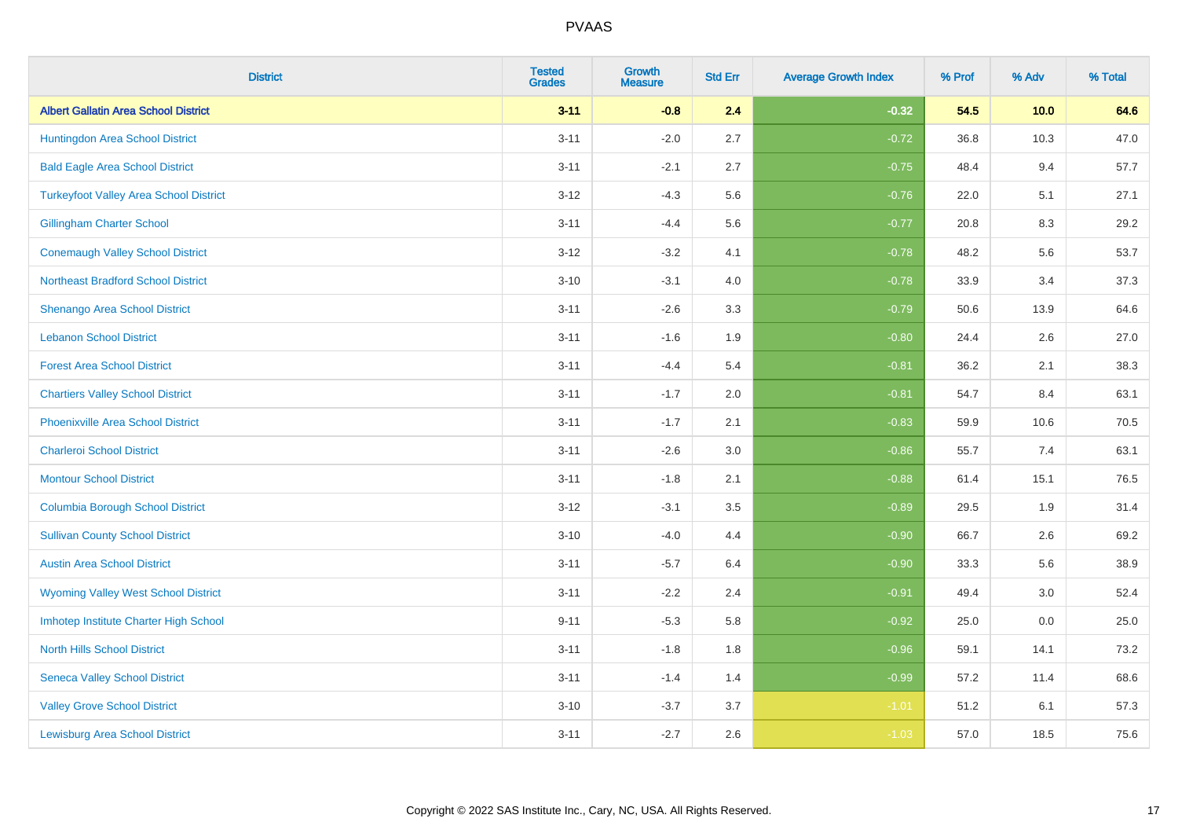| <b>District</b>                               | <b>Tested</b><br><b>Grades</b> | <b>Growth</b><br><b>Measure</b> | <b>Std Err</b> | <b>Average Growth Index</b> | % Prof | % Adv | % Total |
|-----------------------------------------------|--------------------------------|---------------------------------|----------------|-----------------------------|--------|-------|---------|
| <b>Albert Gallatin Area School District</b>   | $3 - 11$                       | $-0.8$                          | 2.4            | $-0.32$                     | 54.5   | 10.0  | 64.6    |
| Huntingdon Area School District               | $3 - 11$                       | $-2.0$                          | 2.7            | $-0.72$                     | 36.8   | 10.3  | 47.0    |
| <b>Bald Eagle Area School District</b>        | $3 - 11$                       | $-2.1$                          | 2.7            | $-0.75$                     | 48.4   | 9.4   | 57.7    |
| <b>Turkeyfoot Valley Area School District</b> | $3 - 12$                       | $-4.3$                          | 5.6            | $-0.76$                     | 22.0   | 5.1   | 27.1    |
| <b>Gillingham Charter School</b>              | $3 - 11$                       | $-4.4$                          | 5.6            | $-0.77$                     | 20.8   | 8.3   | 29.2    |
| <b>Conemaugh Valley School District</b>       | $3 - 12$                       | $-3.2$                          | 4.1            | $-0.78$                     | 48.2   | 5.6   | 53.7    |
| <b>Northeast Bradford School District</b>     | $3 - 10$                       | $-3.1$                          | 4.0            | $-0.78$                     | 33.9   | 3.4   | 37.3    |
| <b>Shenango Area School District</b>          | $3 - 11$                       | $-2.6$                          | 3.3            | $-0.79$                     | 50.6   | 13.9  | 64.6    |
| <b>Lebanon School District</b>                | $3 - 11$                       | $-1.6$                          | 1.9            | $-0.80$                     | 24.4   | 2.6   | 27.0    |
| <b>Forest Area School District</b>            | $3 - 11$                       | $-4.4$                          | 5.4            | $-0.81$                     | 36.2   | 2.1   | 38.3    |
| <b>Chartiers Valley School District</b>       | $3 - 11$                       | $-1.7$                          | 2.0            | $-0.81$                     | 54.7   | 8.4   | 63.1    |
| <b>Phoenixville Area School District</b>      | $3 - 11$                       | $-1.7$                          | 2.1            | $-0.83$                     | 59.9   | 10.6  | 70.5    |
| <b>Charleroi School District</b>              | $3 - 11$                       | $-2.6$                          | 3.0            | $-0.86$                     | 55.7   | 7.4   | 63.1    |
| <b>Montour School District</b>                | $3 - 11$                       | $-1.8$                          | 2.1            | $-0.88$                     | 61.4   | 15.1  | 76.5    |
| <b>Columbia Borough School District</b>       | $3 - 12$                       | $-3.1$                          | 3.5            | $-0.89$                     | 29.5   | 1.9   | 31.4    |
| <b>Sullivan County School District</b>        | $3 - 10$                       | $-4.0$                          | 4.4            | $-0.90$                     | 66.7   | 2.6   | 69.2    |
| <b>Austin Area School District</b>            | $3 - 11$                       | $-5.7$                          | 6.4            | $-0.90$                     | 33.3   | 5.6   | 38.9    |
| <b>Wyoming Valley West School District</b>    | $3 - 11$                       | $-2.2$                          | 2.4            | $-0.91$                     | 49.4   | 3.0   | 52.4    |
| Imhotep Institute Charter High School         | $9 - 11$                       | $-5.3$                          | 5.8            | $-0.92$                     | 25.0   | 0.0   | 25.0    |
| <b>North Hills School District</b>            | $3 - 11$                       | $-1.8$                          | 1.8            | $-0.96$                     | 59.1   | 14.1  | 73.2    |
| <b>Seneca Valley School District</b>          | $3 - 11$                       | $-1.4$                          | 1.4            | $-0.99$                     | 57.2   | 11.4  | 68.6    |
| <b>Valley Grove School District</b>           | $3 - 10$                       | $-3.7$                          | 3.7            | $-1.01$                     | 51.2   | 6.1   | 57.3    |
| <b>Lewisburg Area School District</b>         | $3 - 11$                       | $-2.7$                          | 2.6            | $-1.03$                     | 57.0   | 18.5  | 75.6    |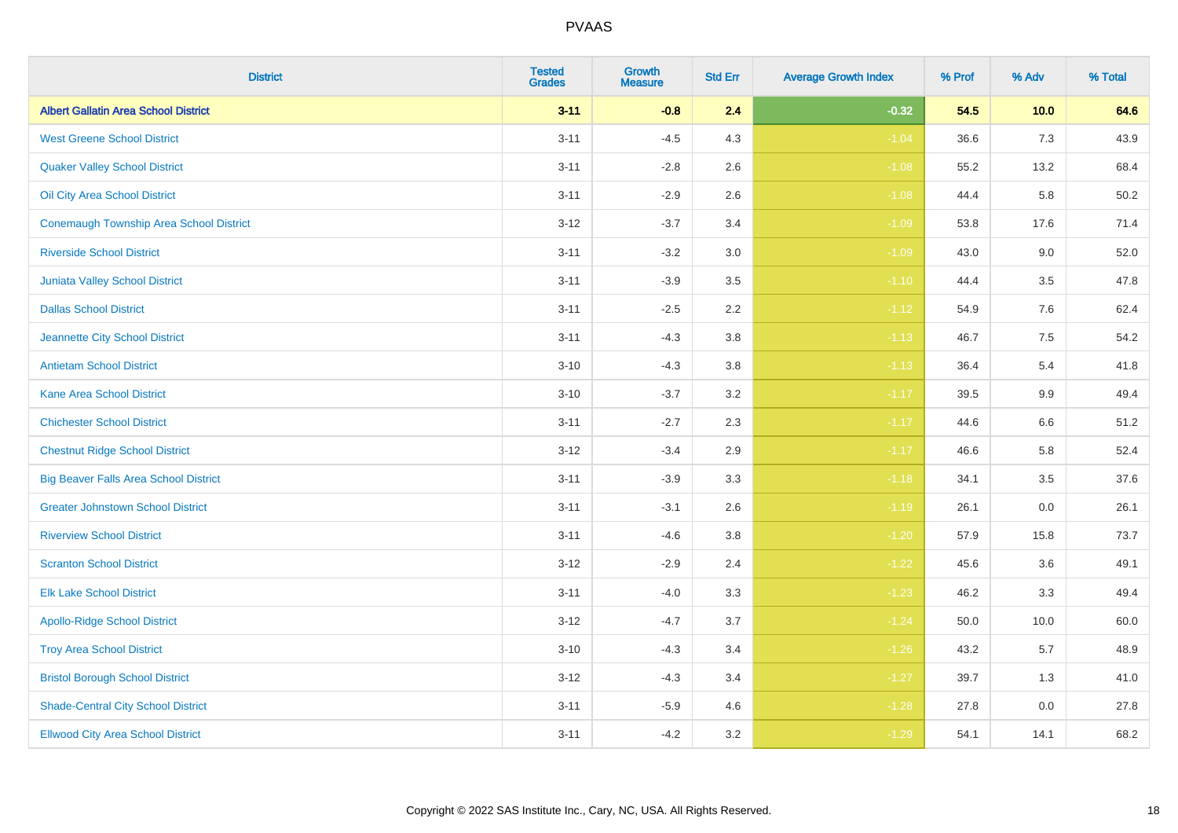| <b>District</b>                                | <b>Tested</b><br><b>Grades</b> | <b>Growth</b><br><b>Measure</b> | <b>Std Err</b> | <b>Average Growth Index</b> | % Prof | % Adv | % Total |
|------------------------------------------------|--------------------------------|---------------------------------|----------------|-----------------------------|--------|-------|---------|
| <b>Albert Gallatin Area School District</b>    | $3 - 11$                       | $-0.8$                          | 2.4            | $-0.32$                     | 54.5   | 10.0  | 64.6    |
| <b>West Greene School District</b>             | $3 - 11$                       | $-4.5$                          | 4.3            | $-1.04$                     | 36.6   | 7.3   | 43.9    |
| <b>Quaker Valley School District</b>           | $3 - 11$                       | $-2.8$                          | 2.6            | $-1.08$                     | 55.2   | 13.2  | 68.4    |
| Oil City Area School District                  | $3 - 11$                       | $-2.9$                          | 2.6            | $-1.08$                     | 44.4   | 5.8   | 50.2    |
| <b>Conemaugh Township Area School District</b> | $3 - 12$                       | $-3.7$                          | 3.4            | $-1.09$                     | 53.8   | 17.6  | 71.4    |
| <b>Riverside School District</b>               | $3 - 11$                       | $-3.2$                          | 3.0            | $-1.09$                     | 43.0   | 9.0   | 52.0    |
| Juniata Valley School District                 | $3 - 11$                       | $-3.9$                          | 3.5            | $-1.10$                     | 44.4   | 3.5   | 47.8    |
| <b>Dallas School District</b>                  | $3 - 11$                       | $-2.5$                          | 2.2            | $-1.12$                     | 54.9   | 7.6   | 62.4    |
| Jeannette City School District                 | $3 - 11$                       | $-4.3$                          | 3.8            | $-1.13$                     | 46.7   | 7.5   | 54.2    |
| <b>Antietam School District</b>                | $3 - 10$                       | $-4.3$                          | 3.8            | $-1.13$                     | 36.4   | 5.4   | 41.8    |
| <b>Kane Area School District</b>               | $3 - 10$                       | $-3.7$                          | 3.2            | $-1.17$                     | 39.5   | 9.9   | 49.4    |
| <b>Chichester School District</b>              | $3 - 11$                       | $-2.7$                          | 2.3            | $-1.17$                     | 44.6   | 6.6   | 51.2    |
| <b>Chestnut Ridge School District</b>          | $3 - 12$                       | $-3.4$                          | 2.9            | $-1.17$                     | 46.6   | 5.8   | 52.4    |
| <b>Big Beaver Falls Area School District</b>   | $3 - 11$                       | $-3.9$                          | 3.3            | $-1.18$                     | 34.1   | 3.5   | 37.6    |
| <b>Greater Johnstown School District</b>       | $3 - 11$                       | $-3.1$                          | 2.6            | $-1.19$                     | 26.1   | 0.0   | 26.1    |
| <b>Riverview School District</b>               | $3 - 11$                       | $-4.6$                          | 3.8            | $-1.20$                     | 57.9   | 15.8  | 73.7    |
| <b>Scranton School District</b>                | $3 - 12$                       | $-2.9$                          | 2.4            | $-1.22$                     | 45.6   | 3.6   | 49.1    |
| <b>Elk Lake School District</b>                | $3 - 11$                       | $-4.0$                          | 3.3            | $-1.23$                     | 46.2   | 3.3   | 49.4    |
| <b>Apollo-Ridge School District</b>            | $3 - 12$                       | $-4.7$                          | 3.7            | $-1.24$                     | 50.0   | 10.0  | 60.0    |
| <b>Troy Area School District</b>               | $3 - 10$                       | $-4.3$                          | 3.4            | $-1.26$                     | 43.2   | 5.7   | 48.9    |
| <b>Bristol Borough School District</b>         | $3 - 12$                       | $-4.3$                          | 3.4            | $-1.27$                     | 39.7   | 1.3   | 41.0    |
| <b>Shade-Central City School District</b>      | $3 - 11$                       | $-5.9$                          | 4.6            | $-1.28$                     | 27.8   | 0.0   | 27.8    |
| <b>Ellwood City Area School District</b>       | $3 - 11$                       | $-4.2$                          | 3.2            | $-1.29$                     | 54.1   | 14.1  | 68.2    |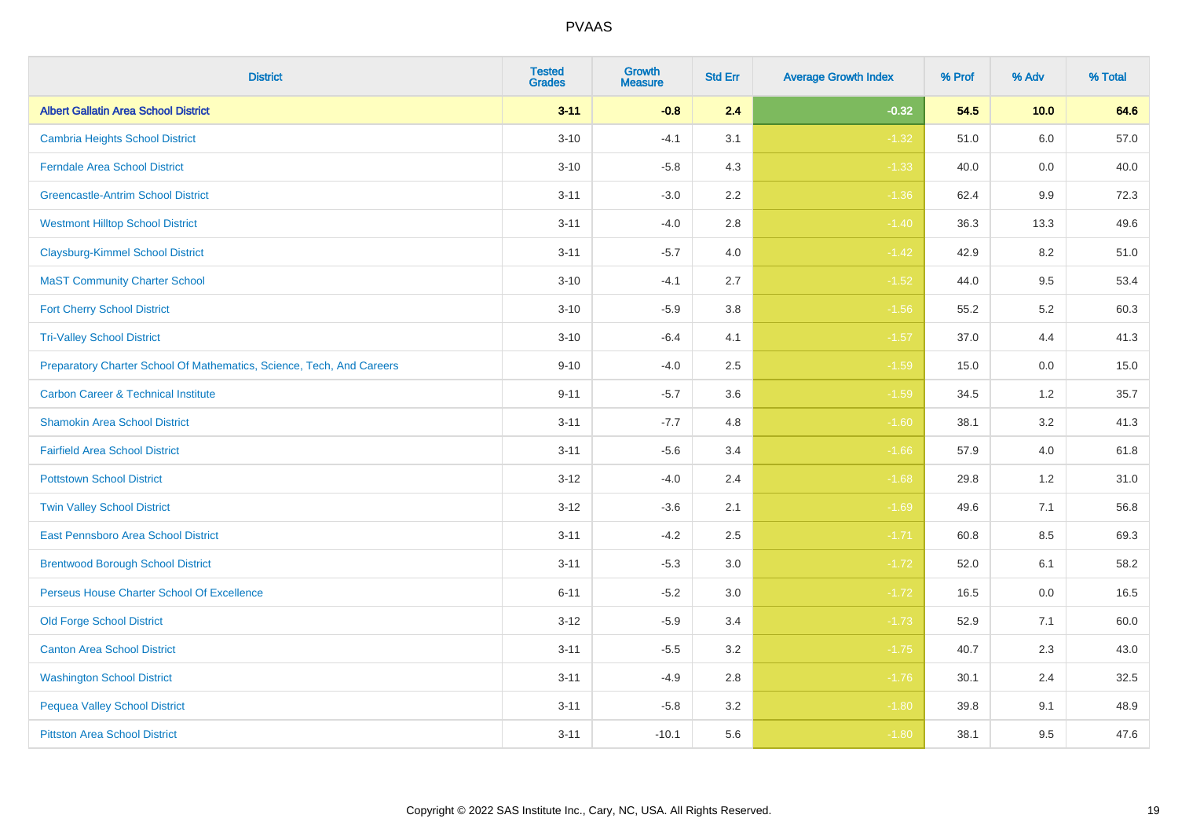| <b>District</b>                                                       | <b>Tested</b><br><b>Grades</b> | <b>Growth</b><br><b>Measure</b> | <b>Std Err</b> | <b>Average Growth Index</b> | % Prof | % Adv | % Total |
|-----------------------------------------------------------------------|--------------------------------|---------------------------------|----------------|-----------------------------|--------|-------|---------|
| <b>Albert Gallatin Area School District</b>                           | $3 - 11$                       | $-0.8$                          | 2.4            | $-0.32$                     | 54.5   | 10.0  | 64.6    |
| <b>Cambria Heights School District</b>                                | $3 - 10$                       | $-4.1$                          | 3.1            | $-1.32$                     | 51.0   | 6.0   | 57.0    |
| <b>Ferndale Area School District</b>                                  | $3 - 10$                       | $-5.8$                          | 4.3            | $-1.33$                     | 40.0   | 0.0   | 40.0    |
| <b>Greencastle-Antrim School District</b>                             | $3 - 11$                       | $-3.0$                          | 2.2            | $-1.36$                     | 62.4   | 9.9   | 72.3    |
| <b>Westmont Hilltop School District</b>                               | $3 - 11$                       | $-4.0$                          | 2.8            | $-1.40$                     | 36.3   | 13.3  | 49.6    |
| <b>Claysburg-Kimmel School District</b>                               | $3 - 11$                       | $-5.7$                          | 4.0            | $-1.42$                     | 42.9   | 8.2   | 51.0    |
| <b>MaST Community Charter School</b>                                  | $3 - 10$                       | $-4.1$                          | 2.7            | $-1.52$                     | 44.0   | 9.5   | 53.4    |
| <b>Fort Cherry School District</b>                                    | $3 - 10$                       | $-5.9$                          | 3.8            | $-1.56$                     | 55.2   | 5.2   | 60.3    |
| <b>Tri-Valley School District</b>                                     | $3 - 10$                       | $-6.4$                          | 4.1            | $-1.57$                     | 37.0   | 4.4   | 41.3    |
| Preparatory Charter School Of Mathematics, Science, Tech, And Careers | $9 - 10$                       | $-4.0$                          | 2.5            | $-1.59$                     | 15.0   | 0.0   | 15.0    |
| <b>Carbon Career &amp; Technical Institute</b>                        | $9 - 11$                       | $-5.7$                          | 3.6            | $-1.59$                     | 34.5   | $1.2$ | 35.7    |
| <b>Shamokin Area School District</b>                                  | $3 - 11$                       | $-7.7$                          | 4.8            | $-1.60$                     | 38.1   | 3.2   | 41.3    |
| <b>Fairfield Area School District</b>                                 | $3 - 11$                       | $-5.6$                          | 3.4            | $-1.66$                     | 57.9   | 4.0   | 61.8    |
| <b>Pottstown School District</b>                                      | $3 - 12$                       | $-4.0$                          | 2.4            | $-1.68$                     | 29.8   | 1.2   | 31.0    |
| <b>Twin Valley School District</b>                                    | $3 - 12$                       | $-3.6$                          | 2.1            | $-1.69$                     | 49.6   | 7.1   | 56.8    |
| <b>East Pennsboro Area School District</b>                            | $3 - 11$                       | $-4.2$                          | 2.5            | $-1.71$                     | 60.8   | 8.5   | 69.3    |
| <b>Brentwood Borough School District</b>                              | $3 - 11$                       | $-5.3$                          | 3.0            | $-1.72$                     | 52.0   | 6.1   | 58.2    |
| Perseus House Charter School Of Excellence                            | $6 - 11$                       | $-5.2$                          | 3.0            | $-1.72$                     | 16.5   | 0.0   | 16.5    |
| <b>Old Forge School District</b>                                      | $3 - 12$                       | $-5.9$                          | 3.4            | $-1.73$                     | 52.9   | 7.1   | 60.0    |
| <b>Canton Area School District</b>                                    | $3 - 11$                       | $-5.5$                          | 3.2            | $-1.75$                     | 40.7   | 2.3   | 43.0    |
| <b>Washington School District</b>                                     | $3 - 11$                       | $-4.9$                          | 2.8            | $-1.76$                     | 30.1   | 2.4   | 32.5    |
| <b>Pequea Valley School District</b>                                  | $3 - 11$                       | $-5.8$                          | 3.2            | $-1.80$                     | 39.8   | 9.1   | 48.9    |
| <b>Pittston Area School District</b>                                  | $3 - 11$                       | $-10.1$                         | 5.6            | $-1.80$                     | 38.1   | 9.5   | 47.6    |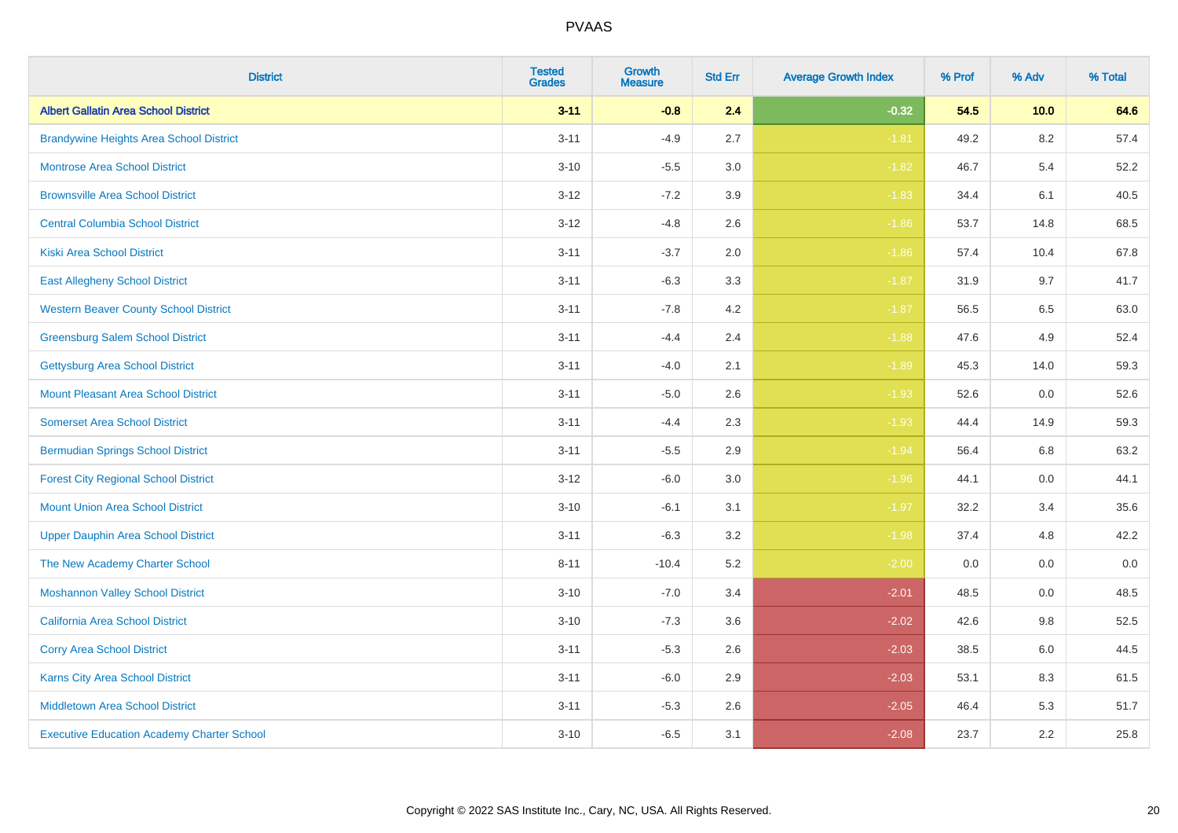| <b>District</b>                                   | <b>Tested</b><br><b>Grades</b> | <b>Growth</b><br><b>Measure</b> | <b>Std Err</b> | <b>Average Growth Index</b> | % Prof | % Adv   | % Total |
|---------------------------------------------------|--------------------------------|---------------------------------|----------------|-----------------------------|--------|---------|---------|
| <b>Albert Gallatin Area School District</b>       | $3 - 11$                       | $-0.8$                          | 2.4            | $-0.32$                     | 54.5   | 10.0    | 64.6    |
| <b>Brandywine Heights Area School District</b>    | $3 - 11$                       | $-4.9$                          | 2.7            | $-1.81$                     | 49.2   | $8.2\,$ | 57.4    |
| <b>Montrose Area School District</b>              | $3 - 10$                       | $-5.5$                          | 3.0            | $-1.82$                     | 46.7   | 5.4     | 52.2    |
| <b>Brownsville Area School District</b>           | $3 - 12$                       | $-7.2$                          | 3.9            | $-1.83$                     | 34.4   | 6.1     | 40.5    |
| <b>Central Columbia School District</b>           | $3 - 12$                       | $-4.8$                          | 2.6            | $-1.86$                     | 53.7   | 14.8    | 68.5    |
| <b>Kiski Area School District</b>                 | $3 - 11$                       | $-3.7$                          | 2.0            | $-1.86$                     | 57.4   | 10.4    | 67.8    |
| <b>East Allegheny School District</b>             | $3 - 11$                       | $-6.3$                          | 3.3            | $-1.87$                     | 31.9   | 9.7     | 41.7    |
| <b>Western Beaver County School District</b>      | $3 - 11$                       | $-7.8$                          | 4.2            | $-1.87$                     | 56.5   | 6.5     | 63.0    |
| <b>Greensburg Salem School District</b>           | $3 - 11$                       | $-4.4$                          | 2.4            | $-1.88$                     | 47.6   | 4.9     | 52.4    |
| <b>Gettysburg Area School District</b>            | $3 - 11$                       | $-4.0$                          | 2.1            | $-1.89$                     | 45.3   | 14.0    | 59.3    |
| <b>Mount Pleasant Area School District</b>        | $3 - 11$                       | $-5.0$                          | 2.6            | $-1.93$                     | 52.6   | 0.0     | 52.6    |
| <b>Somerset Area School District</b>              | $3 - 11$                       | $-4.4$                          | 2.3            | $-1.93$                     | 44.4   | 14.9    | 59.3    |
| <b>Bermudian Springs School District</b>          | $3 - 11$                       | $-5.5$                          | 2.9            | $-1.94$                     | 56.4   | 6.8     | 63.2    |
| <b>Forest City Regional School District</b>       | $3 - 12$                       | $-6.0$                          | 3.0            | $-1.96$                     | 44.1   | 0.0     | 44.1    |
| <b>Mount Union Area School District</b>           | $3 - 10$                       | $-6.1$                          | 3.1            | $-1.97$                     | 32.2   | 3.4     | 35.6    |
| <b>Upper Dauphin Area School District</b>         | $3 - 11$                       | $-6.3$                          | 3.2            | $-1.98$                     | 37.4   | 4.8     | 42.2    |
| The New Academy Charter School                    | $8 - 11$                       | $-10.4$                         | 5.2            | $-2.00$                     | 0.0    | 0.0     | $0.0\,$ |
| <b>Moshannon Valley School District</b>           | $3 - 10$                       | $-7.0$                          | 3.4            | $-2.01$                     | 48.5   | 0.0     | 48.5    |
| <b>California Area School District</b>            | $3 - 10$                       | $-7.3$                          | 3.6            | $-2.02$                     | 42.6   | 9.8     | 52.5    |
| <b>Corry Area School District</b>                 | $3 - 11$                       | $-5.3$                          | 2.6            | $-2.03$                     | 38.5   | 6.0     | 44.5    |
| Karns City Area School District                   | $3 - 11$                       | $-6.0$                          | 2.9            | $-2.03$                     | 53.1   | 8.3     | 61.5    |
| <b>Middletown Area School District</b>            | $3 - 11$                       | $-5.3$                          | 2.6            | $-2.05$                     | 46.4   | 5.3     | 51.7    |
| <b>Executive Education Academy Charter School</b> | $3 - 10$                       | $-6.5$                          | 3.1            | $-2.08$                     | 23.7   | 2.2     | 25.8    |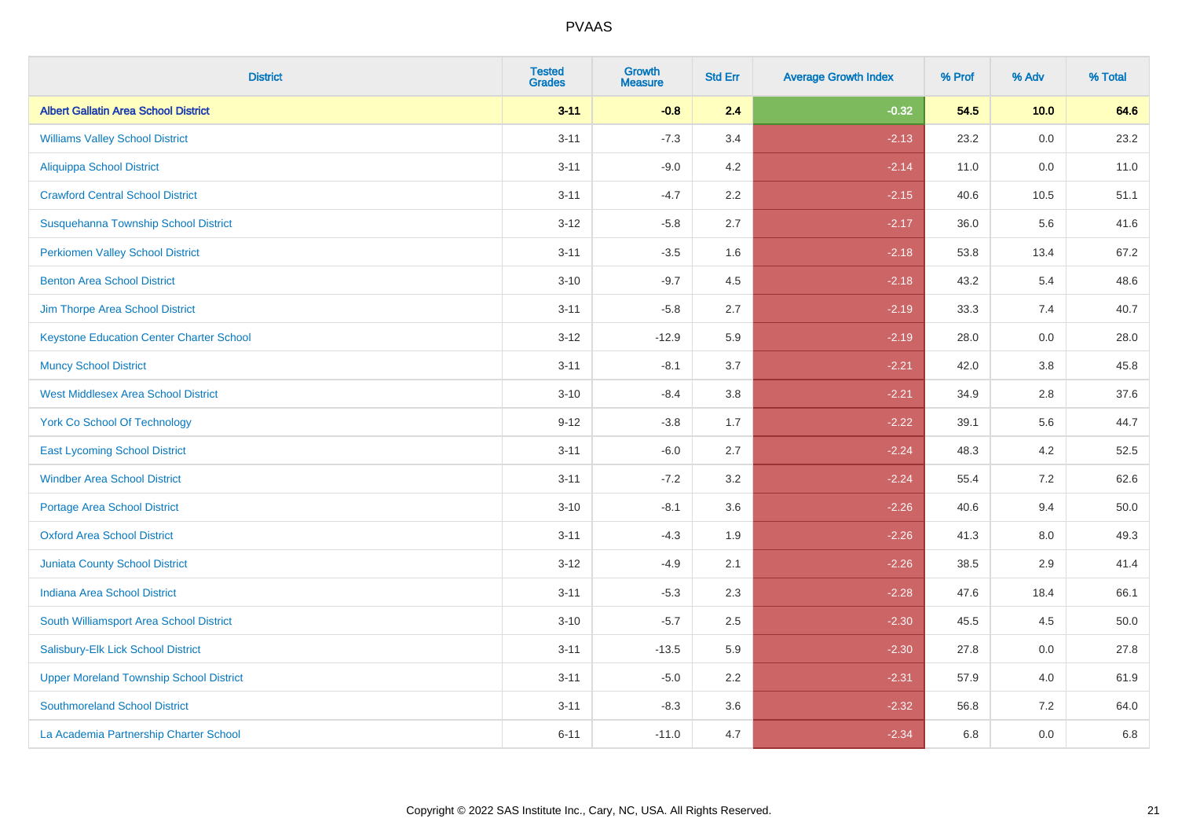| <b>District</b>                                 | <b>Tested</b><br><b>Grades</b> | <b>Growth</b><br><b>Measure</b> | <b>Std Err</b> | <b>Average Growth Index</b> | % Prof | % Adv   | % Total |
|-------------------------------------------------|--------------------------------|---------------------------------|----------------|-----------------------------|--------|---------|---------|
| <b>Albert Gallatin Area School District</b>     | $3 - 11$                       | $-0.8$                          | 2.4            | $-0.32$                     | 54.5   | 10.0    | 64.6    |
| <b>Williams Valley School District</b>          | $3 - 11$                       | $-7.3$                          | 3.4            | $-2.13$                     | 23.2   | 0.0     | 23.2    |
| <b>Aliquippa School District</b>                | $3 - 11$                       | $-9.0$                          | 4.2            | $-2.14$                     | 11.0   | 0.0     | 11.0    |
| <b>Crawford Central School District</b>         | $3 - 11$                       | $-4.7$                          | 2.2            | $-2.15$                     | 40.6   | 10.5    | 51.1    |
| Susquehanna Township School District            | $3 - 12$                       | $-5.8$                          | 2.7            | $-2.17$                     | 36.0   | 5.6     | 41.6    |
| <b>Perkiomen Valley School District</b>         | $3 - 11$                       | $-3.5$                          | 1.6            | $-2.18$                     | 53.8   | 13.4    | 67.2    |
| <b>Benton Area School District</b>              | $3 - 10$                       | $-9.7$                          | 4.5            | $-2.18$                     | 43.2   | 5.4     | 48.6    |
| Jim Thorpe Area School District                 | $3 - 11$                       | $-5.8$                          | 2.7            | $-2.19$                     | 33.3   | 7.4     | 40.7    |
| <b>Keystone Education Center Charter School</b> | $3 - 12$                       | $-12.9$                         | 5.9            | $-2.19$                     | 28.0   | 0.0     | 28.0    |
| <b>Muncy School District</b>                    | $3 - 11$                       | $-8.1$                          | 3.7            | $-2.21$                     | 42.0   | 3.8     | 45.8    |
| <b>West Middlesex Area School District</b>      | $3 - 10$                       | $-8.4$                          | 3.8            | $-2.21$                     | 34.9   | 2.8     | 37.6    |
| <b>York Co School Of Technology</b>             | $9 - 12$                       | $-3.8$                          | 1.7            | $-2.22$                     | 39.1   | 5.6     | 44.7    |
| <b>East Lycoming School District</b>            | $3 - 11$                       | $-6.0$                          | 2.7            | $-2.24$                     | 48.3   | 4.2     | 52.5    |
| <b>Windber Area School District</b>             | $3 - 11$                       | $-7.2$                          | 3.2            | $-2.24$                     | 55.4   | 7.2     | 62.6    |
| <b>Portage Area School District</b>             | $3 - 10$                       | $-8.1$                          | 3.6            | $-2.26$                     | 40.6   | 9.4     | 50.0    |
| <b>Oxford Area School District</b>              | $3 - 11$                       | $-4.3$                          | 1.9            | $-2.26$                     | 41.3   | $8.0\,$ | 49.3    |
| <b>Juniata County School District</b>           | $3 - 12$                       | $-4.9$                          | 2.1            | $-2.26$                     | 38.5   | 2.9     | 41.4    |
| <b>Indiana Area School District</b>             | $3 - 11$                       | $-5.3$                          | 2.3            | $-2.28$                     | 47.6   | 18.4    | 66.1    |
| South Williamsport Area School District         | $3 - 10$                       | $-5.7$                          | 2.5            | $-2.30$                     | 45.5   | 4.5     | 50.0    |
| Salisbury-Elk Lick School District              | $3 - 11$                       | $-13.5$                         | 5.9            | $-2.30$                     | 27.8   | 0.0     | 27.8    |
| <b>Upper Moreland Township School District</b>  | $3 - 11$                       | $-5.0$                          | 2.2            | $-2.31$                     | 57.9   | 4.0     | 61.9    |
| <b>Southmoreland School District</b>            | $3 - 11$                       | $-8.3$                          | 3.6            | $-2.32$                     | 56.8   | 7.2     | 64.0    |
| La Academia Partnership Charter School          | $6 - 11$                       | $-11.0$                         | 4.7            | $-2.34$                     | 6.8    | 0.0     | 6.8     |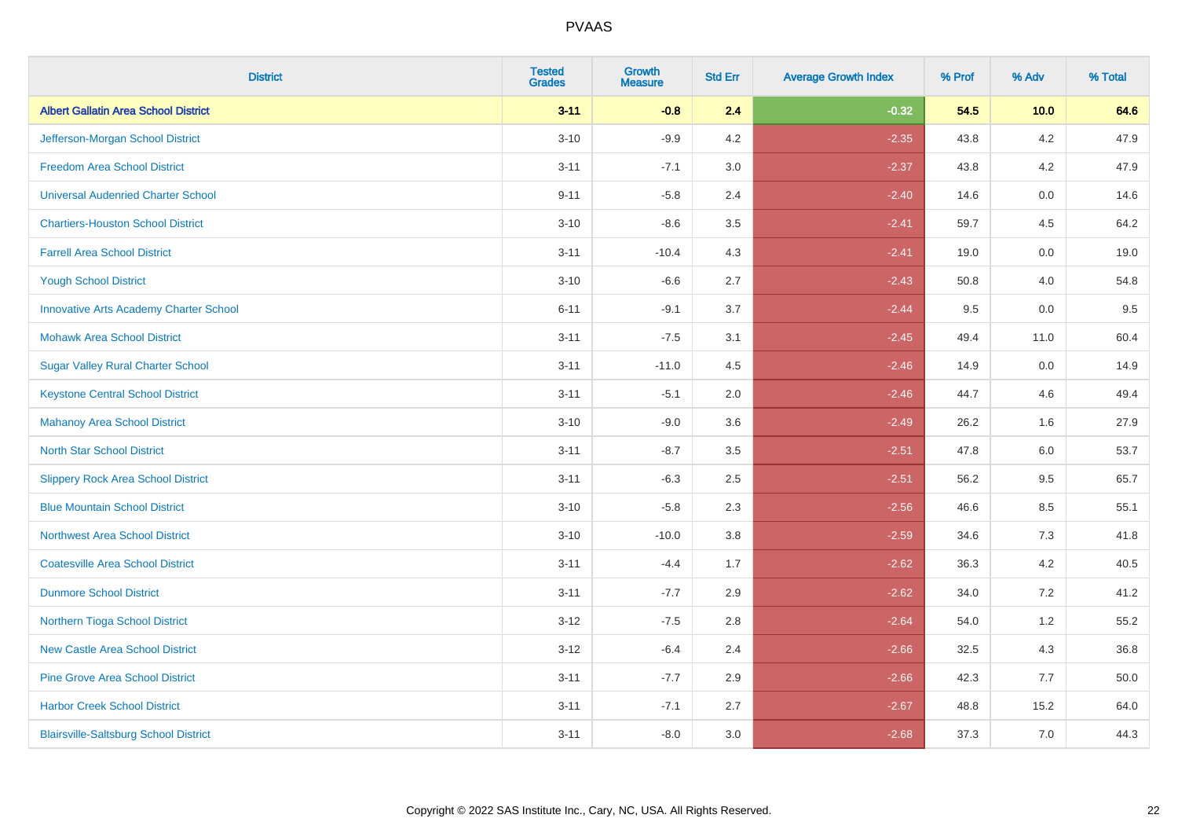| <b>District</b>                               | <b>Tested</b><br><b>Grades</b> | <b>Growth</b><br><b>Measure</b> | <b>Std Err</b> | <b>Average Growth Index</b> | % Prof | % Adv   | % Total |
|-----------------------------------------------|--------------------------------|---------------------------------|----------------|-----------------------------|--------|---------|---------|
| <b>Albert Gallatin Area School District</b>   | $3 - 11$                       | $-0.8$                          | 2.4            | $-0.32$                     | 54.5   | 10.0    | 64.6    |
| Jefferson-Morgan School District              | $3 - 10$                       | $-9.9$                          | 4.2            | $-2.35$                     | 43.8   | 4.2     | 47.9    |
| <b>Freedom Area School District</b>           | $3 - 11$                       | $-7.1$                          | 3.0            | $-2.37$                     | 43.8   | 4.2     | 47.9    |
| <b>Universal Audenried Charter School</b>     | $9 - 11$                       | $-5.8$                          | 2.4            | $-2.40$                     | 14.6   | 0.0     | 14.6    |
| <b>Chartiers-Houston School District</b>      | $3 - 10$                       | $-8.6$                          | 3.5            | $-2.41$                     | 59.7   | 4.5     | 64.2    |
| <b>Farrell Area School District</b>           | $3 - 11$                       | $-10.4$                         | 4.3            | $-2.41$                     | 19.0   | 0.0     | 19.0    |
| <b>Yough School District</b>                  | $3 - 10$                       | $-6.6$                          | 2.7            | $-2.43$                     | 50.8   | 4.0     | 54.8    |
| <b>Innovative Arts Academy Charter School</b> | $6 - 11$                       | $-9.1$                          | 3.7            | $-2.44$                     | 9.5    | 0.0     | 9.5     |
| <b>Mohawk Area School District</b>            | $3 - 11$                       | $-7.5$                          | 3.1            | $-2.45$                     | 49.4   | 11.0    | 60.4    |
| <b>Sugar Valley Rural Charter School</b>      | $3 - 11$                       | $-11.0$                         | 4.5            | $-2.46$                     | 14.9   | 0.0     | 14.9    |
| <b>Keystone Central School District</b>       | $3 - 11$                       | $-5.1$                          | 2.0            | $-2.46$                     | 44.7   | 4.6     | 49.4    |
| <b>Mahanoy Area School District</b>           | $3 - 10$                       | $-9.0$                          | 3.6            | $-2.49$                     | 26.2   | 1.6     | 27.9    |
| <b>North Star School District</b>             | $3 - 11$                       | $-8.7$                          | $3.5\,$        | $-2.51$                     | 47.8   | $6.0\,$ | 53.7    |
| <b>Slippery Rock Area School District</b>     | $3 - 11$                       | $-6.3$                          | 2.5            | $-2.51$                     | 56.2   | 9.5     | 65.7    |
| <b>Blue Mountain School District</b>          | $3 - 10$                       | $-5.8$                          | 2.3            | $-2.56$                     | 46.6   | 8.5     | 55.1    |
| <b>Northwest Area School District</b>         | $3 - 10$                       | $-10.0$                         | 3.8            | $-2.59$                     | 34.6   | $7.3$   | 41.8    |
| <b>Coatesville Area School District</b>       | $3 - 11$                       | $-4.4$                          | 1.7            | $-2.62$                     | 36.3   | 4.2     | 40.5    |
| <b>Dunmore School District</b>                | $3 - 11$                       | $-7.7$                          | 2.9            | $-2.62$                     | 34.0   | 7.2     | 41.2    |
| Northern Tioga School District                | $3 - 12$                       | $-7.5$                          | 2.8            | $-2.64$                     | 54.0   | 1.2     | 55.2    |
| <b>New Castle Area School District</b>        | $3-12$                         | $-6.4$                          | 2.4            | $-2.66$                     | 32.5   | 4.3     | 36.8    |
| <b>Pine Grove Area School District</b>        | $3 - 11$                       | $-7.7$                          | 2.9            | $-2.66$                     | 42.3   | 7.7     | 50.0    |
| <b>Harbor Creek School District</b>           | $3 - 11$                       | $-7.1$                          | 2.7            | $-2.67$                     | 48.8   | 15.2    | 64.0    |
| <b>Blairsville-Saltsburg School District</b>  | $3 - 11$                       | $-8.0$                          | 3.0            | $-2.68$                     | 37.3   | 7.0     | 44.3    |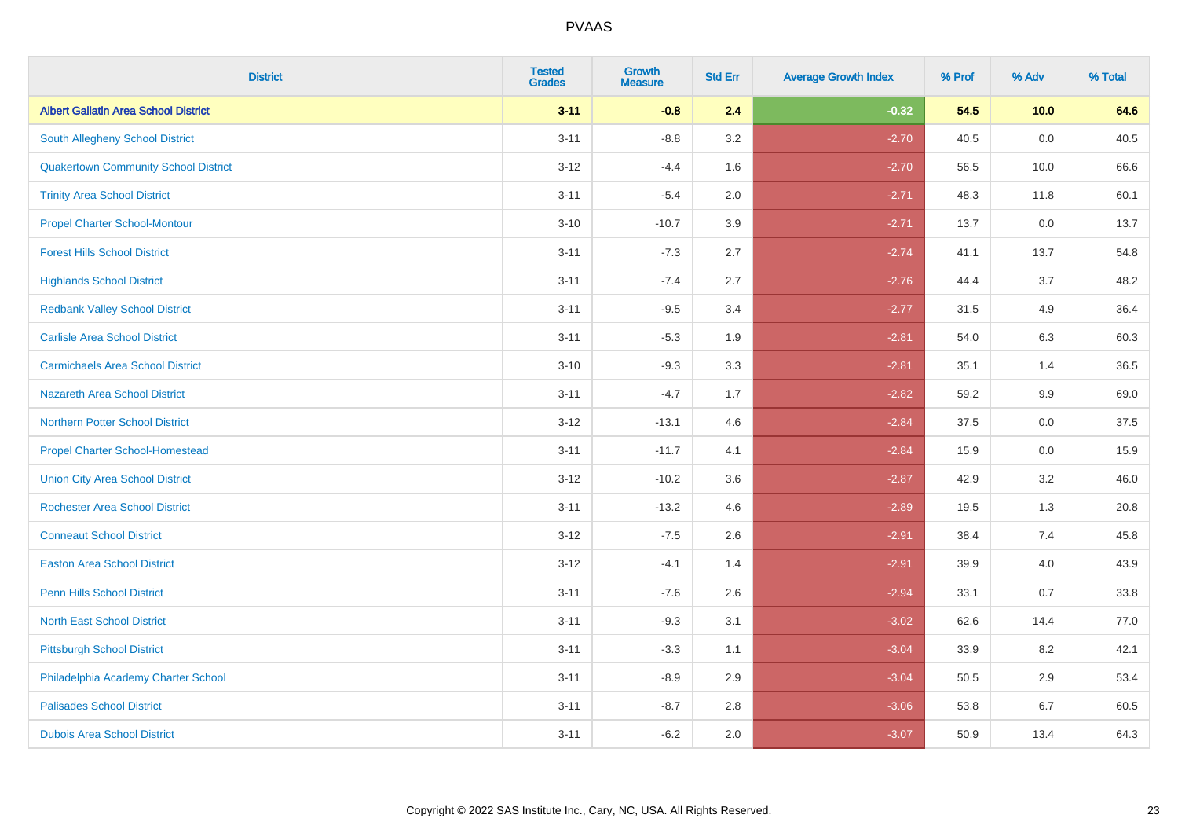| <b>District</b>                             | <b>Tested</b><br><b>Grades</b> | <b>Growth</b><br><b>Measure</b> | <b>Std Err</b> | <b>Average Growth Index</b> | % Prof | % Adv | % Total |
|---------------------------------------------|--------------------------------|---------------------------------|----------------|-----------------------------|--------|-------|---------|
| <b>Albert Gallatin Area School District</b> | $3 - 11$                       | $-0.8$                          | 2.4            | $-0.32$                     | 54.5   | 10.0  | 64.6    |
| <b>South Allegheny School District</b>      | $3 - 11$                       | $-8.8$                          | 3.2            | $-2.70$                     | 40.5   | 0.0   | 40.5    |
| <b>Quakertown Community School District</b> | $3 - 12$                       | $-4.4$                          | 1.6            | $-2.70$                     | 56.5   | 10.0  | 66.6    |
| <b>Trinity Area School District</b>         | $3 - 11$                       | $-5.4$                          | 2.0            | $-2.71$                     | 48.3   | 11.8  | 60.1    |
| <b>Propel Charter School-Montour</b>        | $3 - 10$                       | $-10.7$                         | 3.9            | $-2.71$                     | 13.7   | 0.0   | 13.7    |
| <b>Forest Hills School District</b>         | $3 - 11$                       | $-7.3$                          | 2.7            | $-2.74$                     | 41.1   | 13.7  | 54.8    |
| <b>Highlands School District</b>            | $3 - 11$                       | $-7.4$                          | 2.7            | $-2.76$                     | 44.4   | 3.7   | 48.2    |
| <b>Redbank Valley School District</b>       | $3 - 11$                       | $-9.5$                          | 3.4            | $-2.77$                     | 31.5   | 4.9   | 36.4    |
| <b>Carlisle Area School District</b>        | $3 - 11$                       | $-5.3$                          | 1.9            | $-2.81$                     | 54.0   | 6.3   | 60.3    |
| <b>Carmichaels Area School District</b>     | $3 - 10$                       | $-9.3$                          | 3.3            | $-2.81$                     | 35.1   | 1.4   | 36.5    |
| Nazareth Area School District               | $3 - 11$                       | $-4.7$                          | 1.7            | $-2.82$                     | 59.2   | 9.9   | 69.0    |
| <b>Northern Potter School District</b>      | $3 - 12$                       | $-13.1$                         | 4.6            | $-2.84$                     | 37.5   | 0.0   | 37.5    |
| <b>Propel Charter School-Homestead</b>      | $3 - 11$                       | $-11.7$                         | 4.1            | $-2.84$                     | 15.9   | 0.0   | 15.9    |
| <b>Union City Area School District</b>      | $3-12$                         | $-10.2$                         | 3.6            | $-2.87$                     | 42.9   | 3.2   | 46.0    |
| <b>Rochester Area School District</b>       | $3 - 11$                       | $-13.2$                         | 4.6            | $-2.89$                     | 19.5   | 1.3   | 20.8    |
| <b>Conneaut School District</b>             | $3 - 12$                       | $-7.5$                          | 2.6            | $-2.91$                     | 38.4   | 7.4   | 45.8    |
| <b>Easton Area School District</b>          | $3 - 12$                       | $-4.1$                          | 1.4            | $-2.91$                     | 39.9   | 4.0   | 43.9    |
| <b>Penn Hills School District</b>           | $3 - 11$                       | $-7.6$                          | 2.6            | $-2.94$                     | 33.1   | 0.7   | 33.8    |
| <b>North East School District</b>           | $3 - 11$                       | $-9.3$                          | 3.1            | $-3.02$                     | 62.6   | 14.4  | 77.0    |
| <b>Pittsburgh School District</b>           | $3 - 11$                       | $-3.3$                          | 1.1            | $-3.04$                     | 33.9   | 8.2   | 42.1    |
| Philadelphia Academy Charter School         | $3 - 11$                       | $-8.9$                          | 2.9            | $-3.04$                     | 50.5   | 2.9   | 53.4    |
| <b>Palisades School District</b>            | $3 - 11$                       | $-8.7$                          | 2.8            | $-3.06$                     | 53.8   | 6.7   | 60.5    |
| <b>Dubois Area School District</b>          | $3 - 11$                       | $-6.2$                          | 2.0            | $-3.07$                     | 50.9   | 13.4  | 64.3    |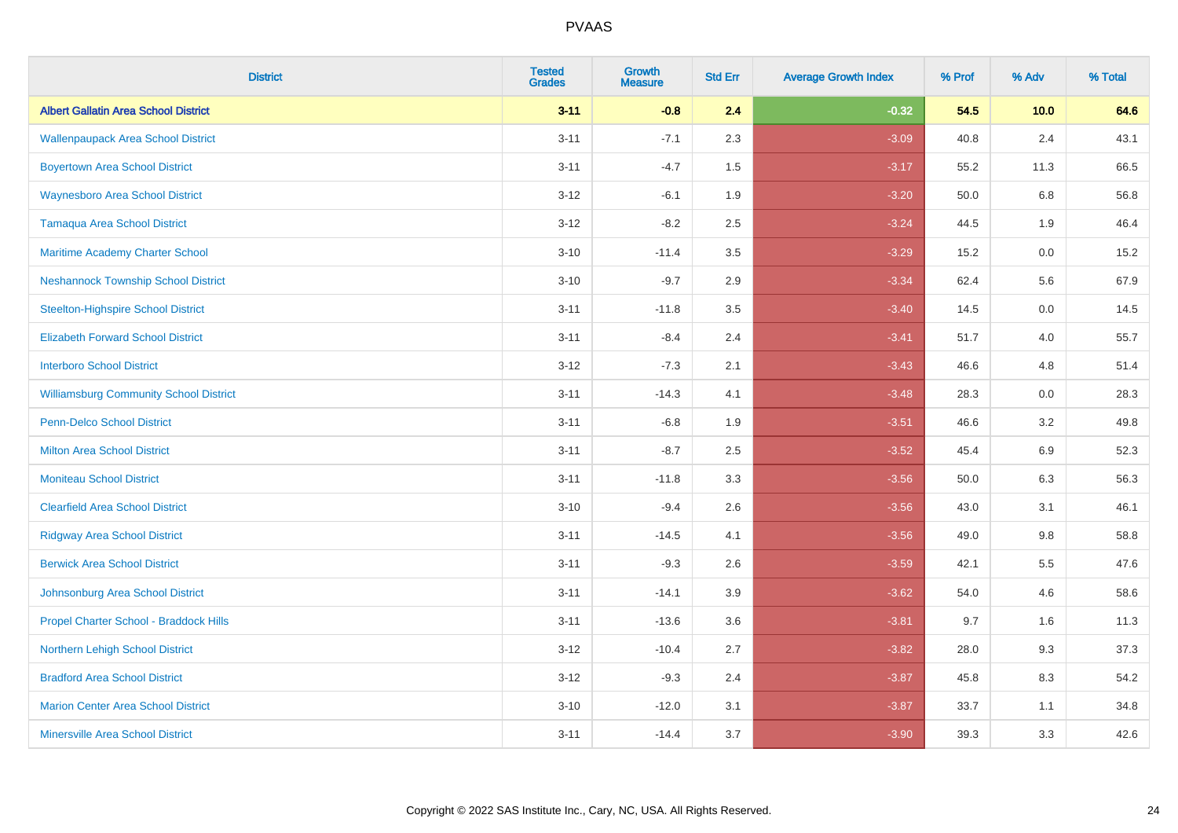| <b>District</b>                               | <b>Tested</b><br><b>Grades</b> | Growth<br><b>Measure</b> | <b>Std Err</b> | <b>Average Growth Index</b> | % Prof | % Adv   | % Total |
|-----------------------------------------------|--------------------------------|--------------------------|----------------|-----------------------------|--------|---------|---------|
| <b>Albert Gallatin Area School District</b>   | $3 - 11$                       | $-0.8$                   | 2.4            | $-0.32$                     | 54.5   | 10.0    | 64.6    |
| <b>Wallenpaupack Area School District</b>     | $3 - 11$                       | $-7.1$                   | 2.3            | $-3.09$                     | 40.8   | 2.4     | 43.1    |
| <b>Boyertown Area School District</b>         | $3 - 11$                       | $-4.7$                   | 1.5            | $-3.17$                     | 55.2   | 11.3    | 66.5    |
| <b>Waynesboro Area School District</b>        | $3 - 12$                       | $-6.1$                   | 1.9            | $-3.20$                     | 50.0   | 6.8     | 56.8    |
| <b>Tamaqua Area School District</b>           | $3 - 12$                       | $-8.2$                   | 2.5            | $-3.24$                     | 44.5   | 1.9     | 46.4    |
| Maritime Academy Charter School               | $3 - 10$                       | $-11.4$                  | 3.5            | $-3.29$                     | 15.2   | $0.0\,$ | 15.2    |
| <b>Neshannock Township School District</b>    | $3 - 10$                       | $-9.7$                   | 2.9            | $-3.34$                     | 62.4   | 5.6     | 67.9    |
| <b>Steelton-Highspire School District</b>     | $3 - 11$                       | $-11.8$                  | 3.5            | $-3.40$                     | 14.5   | 0.0     | 14.5    |
| <b>Elizabeth Forward School District</b>      | $3 - 11$                       | $-8.4$                   | 2.4            | $-3.41$                     | 51.7   | 4.0     | 55.7    |
| <b>Interboro School District</b>              | $3 - 12$                       | $-7.3$                   | 2.1            | $-3.43$                     | 46.6   | 4.8     | 51.4    |
| <b>Williamsburg Community School District</b> | $3 - 11$                       | $-14.3$                  | 4.1            | $-3.48$                     | 28.3   | 0.0     | 28.3    |
| <b>Penn-Delco School District</b>             | $3 - 11$                       | $-6.8$                   | 1.9            | $-3.51$                     | 46.6   | 3.2     | 49.8    |
| <b>Milton Area School District</b>            | $3 - 11$                       | $-8.7$                   | 2.5            | $-3.52$                     | 45.4   | 6.9     | 52.3    |
| <b>Moniteau School District</b>               | $3 - 11$                       | $-11.8$                  | 3.3            | $-3.56$                     | 50.0   | 6.3     | 56.3    |
| <b>Clearfield Area School District</b>        | $3 - 10$                       | $-9.4$                   | 2.6            | $-3.56$                     | 43.0   | 3.1     | 46.1    |
| <b>Ridgway Area School District</b>           | $3 - 11$                       | $-14.5$                  | 4.1            | $-3.56$                     | 49.0   | 9.8     | 58.8    |
| <b>Berwick Area School District</b>           | $3 - 11$                       | $-9.3$                   | 2.6            | $-3.59$                     | 42.1   | 5.5     | 47.6    |
| Johnsonburg Area School District              | $3 - 11$                       | $-14.1$                  | 3.9            | $-3.62$                     | 54.0   | 4.6     | 58.6    |
| Propel Charter School - Braddock Hills        | $3 - 11$                       | $-13.6$                  | 3.6            | $-3.81$                     | 9.7    | 1.6     | 11.3    |
| Northern Lehigh School District               | $3 - 12$                       | $-10.4$                  | 2.7            | $-3.82$                     | 28.0   | 9.3     | 37.3    |
| <b>Bradford Area School District</b>          | $3 - 12$                       | $-9.3$                   | 2.4            | $-3.87$                     | 45.8   | 8.3     | 54.2    |
| <b>Marion Center Area School District</b>     | $3 - 10$                       | $-12.0$                  | 3.1            | $-3.87$                     | 33.7   | 1.1     | 34.8    |
| <b>Minersville Area School District</b>       | $3 - 11$                       | $-14.4$                  | 3.7            | $-3.90$                     | 39.3   | 3.3     | 42.6    |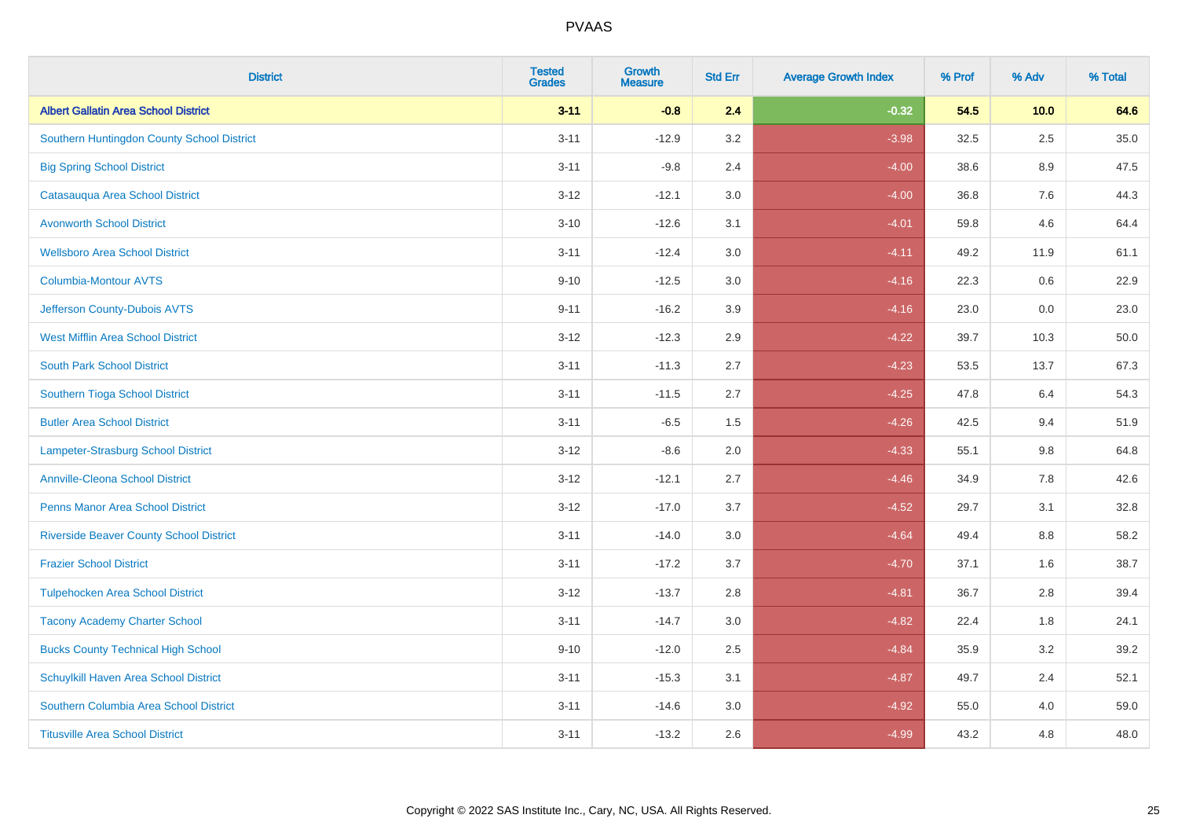| <b>District</b>                                | <b>Tested</b><br><b>Grades</b> | <b>Growth</b><br><b>Measure</b> | <b>Std Err</b> | <b>Average Growth Index</b> | % Prof | % Adv   | % Total |
|------------------------------------------------|--------------------------------|---------------------------------|----------------|-----------------------------|--------|---------|---------|
| <b>Albert Gallatin Area School District</b>    | $3 - 11$                       | $-0.8$                          | 2.4            | $-0.32$                     | 54.5   | 10.0    | 64.6    |
| Southern Huntingdon County School District     | $3 - 11$                       | $-12.9$                         | 3.2            | $-3.98$                     | 32.5   | 2.5     | 35.0    |
| <b>Big Spring School District</b>              | $3 - 11$                       | $-9.8$                          | 2.4            | $-4.00$                     | 38.6   | 8.9     | 47.5    |
| Catasauqua Area School District                | $3 - 12$                       | $-12.1$                         | 3.0            | $-4.00$                     | 36.8   | $7.6\,$ | 44.3    |
| <b>Avonworth School District</b>               | $3 - 10$                       | $-12.6$                         | 3.1            | $-4.01$                     | 59.8   | 4.6     | 64.4    |
| <b>Wellsboro Area School District</b>          | $3 - 11$                       | $-12.4$                         | 3.0            | $-4.11$                     | 49.2   | 11.9    | 61.1    |
| <b>Columbia-Montour AVTS</b>                   | $9 - 10$                       | $-12.5$                         | 3.0            | $-4.16$                     | 22.3   | 0.6     | 22.9    |
| Jefferson County-Dubois AVTS                   | $9 - 11$                       | $-16.2$                         | 3.9            | $-4.16$                     | 23.0   | 0.0     | 23.0    |
| <b>West Mifflin Area School District</b>       | $3 - 12$                       | $-12.3$                         | 2.9            | $-4.22$                     | 39.7   | 10.3    | 50.0    |
| <b>South Park School District</b>              | $3 - 11$                       | $-11.3$                         | 2.7            | $-4.23$                     | 53.5   | 13.7    | 67.3    |
| Southern Tioga School District                 | $3 - 11$                       | $-11.5$                         | 2.7            | $-4.25$                     | 47.8   | 6.4     | 54.3    |
| <b>Butler Area School District</b>             | $3 - 11$                       | $-6.5$                          | 1.5            | $-4.26$                     | 42.5   | 9.4     | 51.9    |
| <b>Lampeter-Strasburg School District</b>      | $3 - 12$                       | $-8.6$                          | 2.0            | $-4.33$                     | 55.1   | 9.8     | 64.8    |
| <b>Annville-Cleona School District</b>         | $3 - 12$                       | $-12.1$                         | 2.7            | $-4.46$                     | 34.9   | $7.8\,$ | 42.6    |
| <b>Penns Manor Area School District</b>        | $3 - 12$                       | $-17.0$                         | 3.7            | $-4.52$                     | 29.7   | 3.1     | 32.8    |
| <b>Riverside Beaver County School District</b> | $3 - 11$                       | $-14.0$                         | 3.0            | $-4.64$                     | 49.4   | 8.8     | 58.2    |
| <b>Frazier School District</b>                 | $3 - 11$                       | $-17.2$                         | 3.7            | $-4.70$                     | 37.1   | 1.6     | 38.7    |
| <b>Tulpehocken Area School District</b>        | $3 - 12$                       | $-13.7$                         | 2.8            | $-4.81$                     | 36.7   | 2.8     | 39.4    |
| <b>Tacony Academy Charter School</b>           | $3 - 11$                       | $-14.7$                         | 3.0            | $-4.82$                     | 22.4   | 1.8     | 24.1    |
| <b>Bucks County Technical High School</b>      | $9 - 10$                       | $-12.0$                         | 2.5            | $-4.84$                     | 35.9   | 3.2     | 39.2    |
| Schuylkill Haven Area School District          | $3 - 11$                       | $-15.3$                         | 3.1            | $-4.87$                     | 49.7   | 2.4     | 52.1    |
| Southern Columbia Area School District         | $3 - 11$                       | $-14.6$                         | 3.0            | $-4.92$                     | 55.0   | 4.0     | 59.0    |
| <b>Titusville Area School District</b>         | $3 - 11$                       | $-13.2$                         | 2.6            | $-4.99$                     | 43.2   | 4.8     | 48.0    |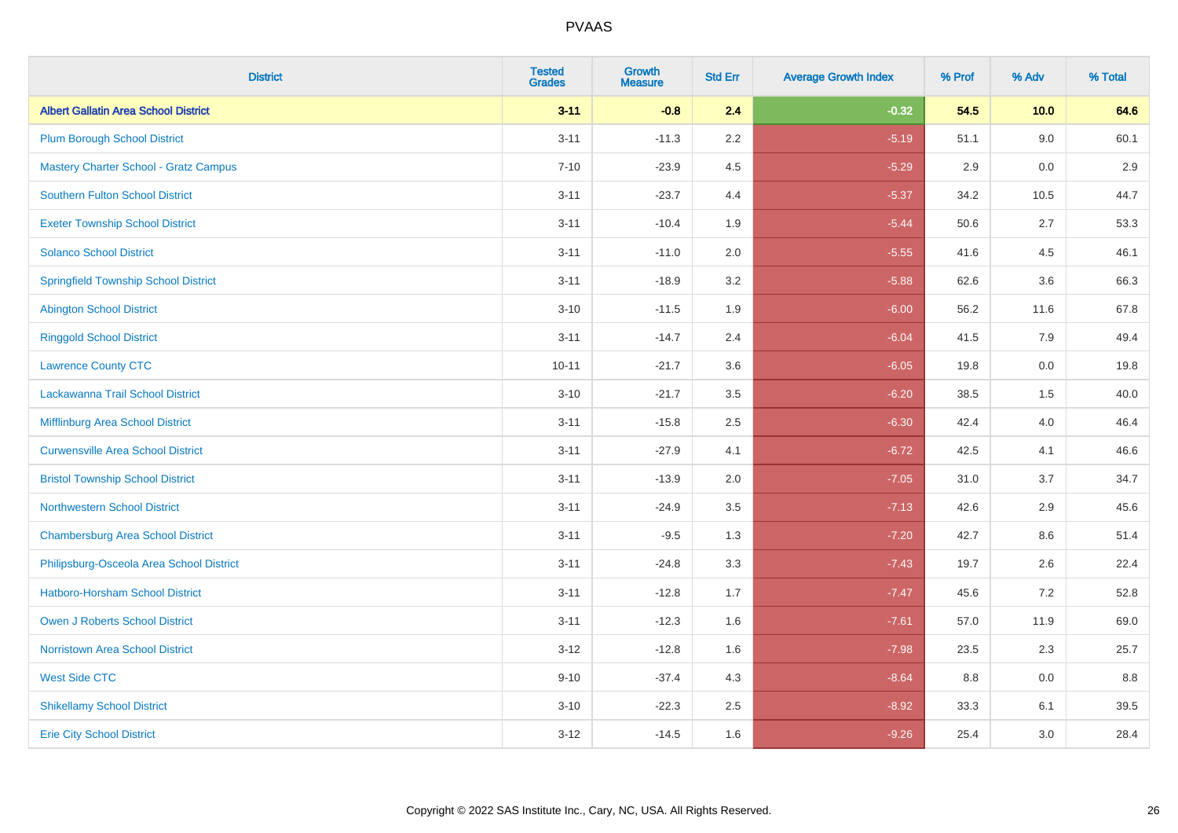| <b>District</b>                              | <b>Tested</b><br><b>Grades</b> | <b>Growth</b><br><b>Measure</b> | <b>Std Err</b> | <b>Average Growth Index</b> | % Prof | % Adv   | % Total |
|----------------------------------------------|--------------------------------|---------------------------------|----------------|-----------------------------|--------|---------|---------|
| <b>Albert Gallatin Area School District</b>  | $3 - 11$                       | $-0.8$                          | 2.4            | $-0.32$                     | 54.5   | 10.0    | 64.6    |
| <b>Plum Borough School District</b>          | $3 - 11$                       | $-11.3$                         | 2.2            | $-5.19$                     | 51.1   | 9.0     | 60.1    |
| <b>Mastery Charter School - Gratz Campus</b> | $7 - 10$                       | $-23.9$                         | 4.5            | $-5.29$                     | 2.9    | 0.0     | 2.9     |
| Southern Fulton School District              | $3 - 11$                       | $-23.7$                         | 4.4            | $-5.37$                     | 34.2   | 10.5    | 44.7    |
| <b>Exeter Township School District</b>       | $3 - 11$                       | $-10.4$                         | 1.9            | $-5.44$                     | 50.6   | 2.7     | 53.3    |
| <b>Solanco School District</b>               | $3 - 11$                       | $-11.0$                         | 2.0            | $-5.55$                     | 41.6   | 4.5     | 46.1    |
| <b>Springfield Township School District</b>  | $3 - 11$                       | $-18.9$                         | 3.2            | $-5.88$                     | 62.6   | 3.6     | 66.3    |
| <b>Abington School District</b>              | $3 - 10$                       | $-11.5$                         | 1.9            | $-6.00$                     | 56.2   | 11.6    | 67.8    |
| <b>Ringgold School District</b>              | $3 - 11$                       | $-14.7$                         | 2.4            | $-6.04$                     | 41.5   | 7.9     | 49.4    |
| <b>Lawrence County CTC</b>                   | $10 - 11$                      | $-21.7$                         | 3.6            | $-6.05$                     | 19.8   | 0.0     | 19.8    |
| Lackawanna Trail School District             | $3 - 10$                       | $-21.7$                         | 3.5            | $-6.20$                     | 38.5   | 1.5     | 40.0    |
| Mifflinburg Area School District             | $3 - 11$                       | $-15.8$                         | 2.5            | $-6.30$                     | 42.4   | 4.0     | 46.4    |
| <b>Curwensville Area School District</b>     | $3 - 11$                       | $-27.9$                         | 4.1            | $-6.72$                     | 42.5   | 4.1     | 46.6    |
| <b>Bristol Township School District</b>      | $3 - 11$                       | $-13.9$                         | 2.0            | $-7.05$                     | 31.0   | 3.7     | 34.7    |
| <b>Northwestern School District</b>          | $3 - 11$                       | $-24.9$                         | 3.5            | $-7.13$                     | 42.6   | 2.9     | 45.6    |
| <b>Chambersburg Area School District</b>     | $3 - 11$                       | $-9.5$                          | 1.3            | $-7.20$                     | 42.7   | $8.6\,$ | 51.4    |
| Philipsburg-Osceola Area School District     | $3 - 11$                       | $-24.8$                         | 3.3            | $-7.43$                     | 19.7   | 2.6     | 22.4    |
| Hatboro-Horsham School District              | $3 - 11$                       | $-12.8$                         | 1.7            | $-7.47$                     | 45.6   | 7.2     | 52.8    |
| <b>Owen J Roberts School District</b>        | $3 - 11$                       | $-12.3$                         | 1.6            | $-7.61$                     | 57.0   | 11.9    | 69.0    |
| <b>Norristown Area School District</b>       | $3 - 12$                       | $-12.8$                         | 1.6            | $-7.98$                     | 23.5   | 2.3     | 25.7    |
| <b>West Side CTC</b>                         | $9 - 10$                       | $-37.4$                         | 4.3            | $-8.64$                     | 8.8    | 0.0     | 8.8     |
| <b>Shikellamy School District</b>            | $3 - 10$                       | $-22.3$                         | 2.5            | $-8.92$                     | 33.3   | 6.1     | 39.5    |
| <b>Erie City School District</b>             | $3 - 12$                       | $-14.5$                         | 1.6            | $-9.26$                     | 25.4   | 3.0     | 28.4    |